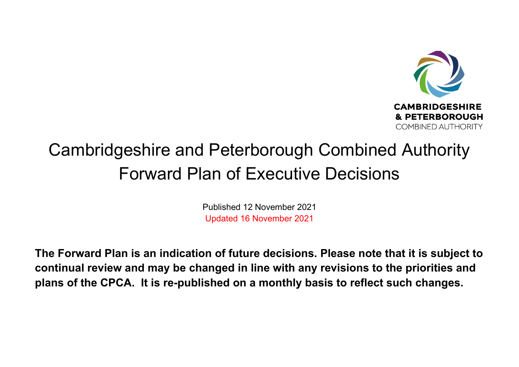

# Cambridgeshire and Peterborough Combined Authority Forward Plan of Executive Decisions

Published 12 November 2021 Updated 16 November 2021

**The Forward Plan is an indication of future decisions. Please note that it is subject to continual review and may be changed in line with any revisions to the priorities and plans of the CPCA. It is re-published on a monthly basis to reflect such changes.**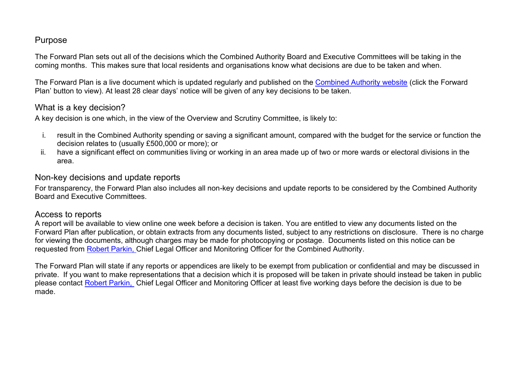#### Purpose

The Forward Plan sets out all of the decisions which the Combined Authority Board and Executive Committees will be taking in the coming months. This makes sure that local residents and organisations know what decisions are due to be taken and when.

The Forward Plan is a live document which is updated regularly and published on the [Combined Authority website](https://cambridgeshirepeterboroughcagov.cmis.uk.com/ForwardPlanofKeyDecisionsDocuments/ForwardPlanofKeyDecisions.aspx) (click the Forward Plan' button to view). At least 28 clear days' notice will be given of any key decisions to be taken.

#### What is a key decision?

A key decision is one which, in the view of the Overview and Scrutiny Committee, is likely to:

- i. result in the Combined Authority spending or saving a significant amount, compared with the budget for the service or function the decision relates to (usually £500,000 or more); or
- ii. have a significant effect on communities living or working in an area made up of two or more wards or electoral divisions in the area.

#### Non-key decisions and update reports

For transparency, the Forward Plan also includes all non-key decisions and update reports to be considered by the Combined Authority Board and Executive Committees.

#### Access to reports

A report will be available to view online one week before a decision is taken. You are entitled to view any documents listed on the Forward Plan after publication, or obtain extracts from any documents listed, subject to any restrictions on disclosure. There is no charge for viewing the documents, although charges may be made for photocopying or postage. Documents listed on this notice can be requested from [Robert Parkin, C](mailto:Robert.Parkin@cambridgeshirepeterborough-ca.gov.uk)hief Legal Officer and Monitoring Officer for the Combined Authority.

The Forward Plan will state if any reports or appendices are likely to be exempt from publication or confidential and may be discussed in private. If you want to make representations that a decision which it is proposed will be taken in private should instead be taken in public please contact [Robert Parkin,](mailto:Robert.Parkin@cambridgeshirepeterborough-ca.gov.uk) Chief Legal Officer and Monitoring Officer at least five working days before the decision is due to be made.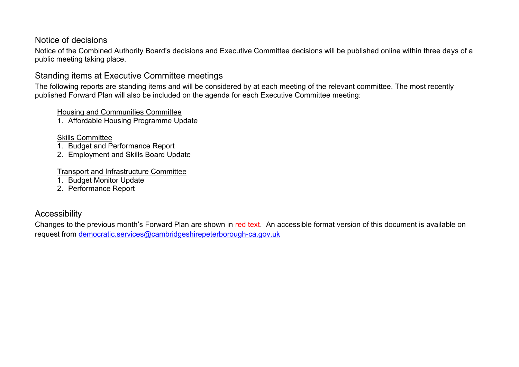#### Notice of decisions

Notice of the Combined Authority Board's decisions and Executive Committee decisions will be published online within three days of a public meeting taking place.

#### Standing items at Executive Committee meetings

The following reports are standing items and will be considered by at each meeting of the relevant committee. The most recently published Forward Plan will also be included on the agenda for each Executive Committee meeting:

#### Housing and Communities Committee

1. Affordable Housing Programme Update

#### Skills Committee

- 1. Budget and Performance Report
- 2. Employment and Skills Board Update

#### Transport and Infrastructure Committee

- 1. Budget Monitor Update
- 2. Performance Report

#### Accessibility

Changes to the previous month's Forward Plan are shown in red text. An accessible format version of this document is available on request from [democratic.services@cambridgeshirepeterborough-ca.gov.uk](mailto:democratic.services@cambridgeshirepeterborough-ca.gov.uk)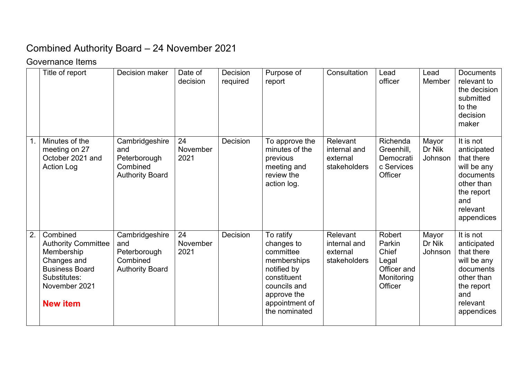## Combined Authority Board – 24 November 2021

### Governance Items

|                | Title of report                                                                                                                                  | <b>Decision maker</b>                                                       | Date of<br>decision    | Decision<br>required | Purpose of<br>report                                                                                                                                | Consultation                                         | Lead<br>officer                                                            | Lead<br>Member             | <b>Documents</b><br>relevant to<br>the decision<br>submitted<br>to the<br>decision<br>maker                                     |
|----------------|--------------------------------------------------------------------------------------------------------------------------------------------------|-----------------------------------------------------------------------------|------------------------|----------------------|-----------------------------------------------------------------------------------------------------------------------------------------------------|------------------------------------------------------|----------------------------------------------------------------------------|----------------------------|---------------------------------------------------------------------------------------------------------------------------------|
| 1 <sub>1</sub> | Minutes of the<br>meeting on 27<br>October 2021 and<br><b>Action Log</b>                                                                         | Cambridgeshire<br>and<br>Peterborough<br>Combined<br><b>Authority Board</b> | 24<br>November<br>2021 | Decision             | To approve the<br>minutes of the<br>previous<br>meeting and<br>review the<br>action log.                                                            | Relevant<br>internal and<br>external<br>stakeholders | Richenda<br>Greenhill,<br>Democrati<br>c Services<br>Officer               | Mayor<br>Dr Nik<br>Johnson | It is not<br>anticipated<br>that there<br>will be any<br>documents<br>other than<br>the report<br>and<br>relevant<br>appendices |
| 2.             | Combined<br><b>Authority Committee</b><br>Membership<br>Changes and<br><b>Business Board</b><br>Substitutes:<br>November 2021<br><b>New item</b> | Cambridgeshire<br>and<br>Peterborough<br>Combined<br><b>Authority Board</b> | 24<br>November<br>2021 | Decision             | To ratify<br>changes to<br>committee<br>memberships<br>notified by<br>constituent<br>councils and<br>approve the<br>appointment of<br>the nominated | Relevant<br>internal and<br>external<br>stakeholders | Robert<br>Parkin<br>Chief<br>Legal<br>Officer and<br>Monitoring<br>Officer | Mayor<br>Dr Nik<br>Johnson | It is not<br>anticipated<br>that there<br>will be any<br>documents<br>other than<br>the report<br>and<br>relevant<br>appendices |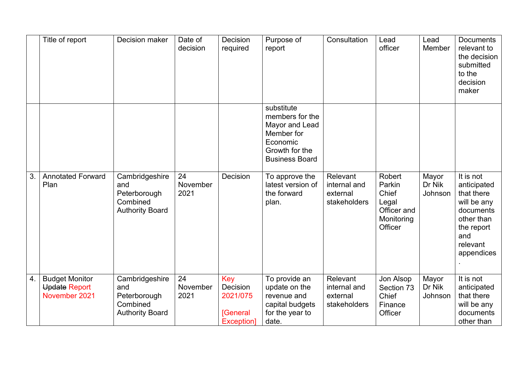|    | Title of report                                                | <b>Decision maker</b>                                                       | Date of<br>decision    | Decision<br>required                                         | Purpose of<br>report                                                                                                 | Consultation                                         | Lead<br>officer                                                            | Lead<br>Member             | <b>Documents</b><br>relevant to<br>the decision<br>submitted<br>to the<br>decision<br>maker                                     |
|----|----------------------------------------------------------------|-----------------------------------------------------------------------------|------------------------|--------------------------------------------------------------|----------------------------------------------------------------------------------------------------------------------|------------------------------------------------------|----------------------------------------------------------------------------|----------------------------|---------------------------------------------------------------------------------------------------------------------------------|
|    |                                                                |                                                                             |                        |                                                              | substitute<br>members for the<br>Mayor and Lead<br>Member for<br>Economic<br>Growth for the<br><b>Business Board</b> |                                                      |                                                                            |                            |                                                                                                                                 |
| 3. | <b>Annotated Forward</b><br>Plan                               | Cambridgeshire<br>and<br>Peterborough<br>Combined<br><b>Authority Board</b> | 24<br>November<br>2021 | Decision                                                     | To approve the<br>latest version of<br>the forward<br>plan.                                                          | Relevant<br>internal and<br>external<br>stakeholders | Robert<br>Parkin<br>Chief<br>Legal<br>Officer and<br>Monitoring<br>Officer | Mayor<br>Dr Nik<br>Johnson | It is not<br>anticipated<br>that there<br>will be any<br>documents<br>other than<br>the report<br>and<br>relevant<br>appendices |
| 4. | <b>Budget Monitor</b><br><b>Update Report</b><br>November 2021 | Cambridgeshire<br>and<br>Peterborough<br>Combined<br><b>Authority Board</b> | 24<br>November<br>2021 | Key<br>Decision<br>2021/075<br><b>[General</b><br>Exception] | To provide an<br>update on the<br>revenue and<br>capital budgets<br>for the year to<br>date.                         | Relevant<br>internal and<br>external<br>stakeholders | Jon Alsop<br>Section 73<br>Chief<br>Finance<br>Officer                     | Mayor<br>Dr Nik<br>Johnson | It is not<br>anticipated<br>that there<br>will be any<br>documents<br>other than                                                |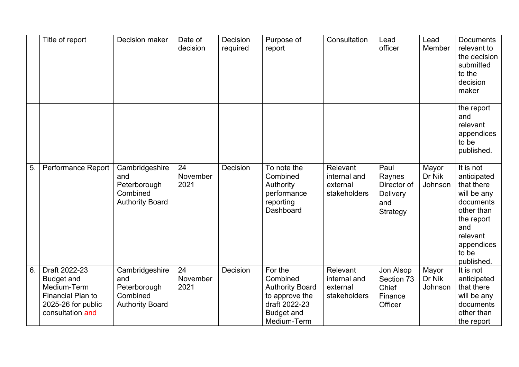|    | Title of report                                                                                                         | Decision maker                                                              | Date of<br>decision    | Decision<br>required | Purpose of<br>report                                                                                                 | Consultation                                         | Lead<br>officer                                              | Lead<br>Member             | <b>Documents</b><br>relevant to<br>the decision<br>submitted<br>to the<br>decision<br>maker                                                            |
|----|-------------------------------------------------------------------------------------------------------------------------|-----------------------------------------------------------------------------|------------------------|----------------------|----------------------------------------------------------------------------------------------------------------------|------------------------------------------------------|--------------------------------------------------------------|----------------------------|--------------------------------------------------------------------------------------------------------------------------------------------------------|
|    |                                                                                                                         |                                                                             |                        |                      |                                                                                                                      |                                                      |                                                              |                            | the report<br>and<br>relevant<br>appendices<br>to be<br>published.                                                                                     |
| 5. | Performance Report                                                                                                      | Cambridgeshire<br>and<br>Peterborough<br>Combined<br><b>Authority Board</b> | 24<br>November<br>2021 | Decision             | To note the<br>Combined<br>Authority<br>performance<br>reporting<br>Dashboard                                        | Relevant<br>internal and<br>external<br>stakeholders | Paul<br>Raynes<br>Director of<br>Delivery<br>and<br>Strategy | Mayor<br>Dr Nik<br>Johnson | It is not<br>anticipated<br>that there<br>will be any<br>documents<br>other than<br>the report<br>and<br>relevant<br>appendices<br>to be<br>published. |
| 6. | Draft 2022-23<br><b>Budget and</b><br>Medium-Term<br><b>Financial Plan to</b><br>2025-26 for public<br>consultation and | Cambridgeshire<br>and<br>Peterborough<br>Combined<br><b>Authority Board</b> | 24<br>November<br>2021 | Decision             | For the<br>Combined<br><b>Authority Board</b><br>to approve the<br>draft 2022-23<br><b>Budget and</b><br>Medium-Term | Relevant<br>internal and<br>external<br>stakeholders | Jon Alsop<br>Section 73<br>Chief<br>Finance<br>Officer       | Mayor<br>Dr Nik<br>Johnson | It is not<br>anticipated<br>that there<br>will be any<br>documents<br>other than<br>the report                                                         |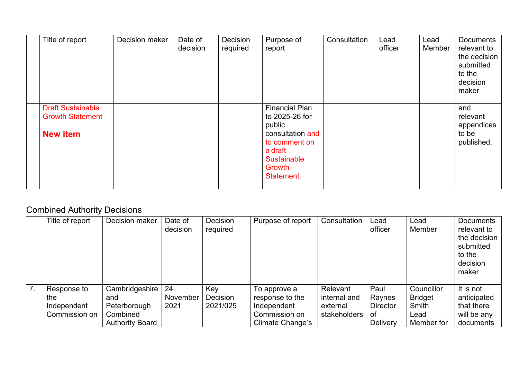| Title of report                                                        | Decision maker | Date of<br>decision | Decision<br>required | Purpose of<br>report                                                                                                                            | Consultation | Lead<br>officer | Lead<br>Member | <b>Documents</b><br>relevant to<br>the decision<br>submitted<br>to the<br>decision<br>maker |
|------------------------------------------------------------------------|----------------|---------------------|----------------------|-------------------------------------------------------------------------------------------------------------------------------------------------|--------------|-----------------|----------------|---------------------------------------------------------------------------------------------|
| <b>Draft Sustainable</b><br><b>Growth Statement</b><br><b>New item</b> |                |                     |                      | <b>Financial Plan</b><br>to 2025-26 for<br>public<br>consultation and<br>to comment on<br>a draft<br><b>Sustainable</b><br>Growth<br>Statement. |              |                 |                | and<br>relevant<br>appendices<br>to be<br>published.                                        |

## Combined Authority Decisions

|                | Title of report | Decision maker         | Date of<br>decision | Decision<br>required | Purpose of report | Consultation | Lead<br>officer | Lead<br>Member | <b>Documents</b><br>relevant to<br>the decision<br>submitted<br>to the<br>decision<br>maker |
|----------------|-----------------|------------------------|---------------------|----------------------|-------------------|--------------|-----------------|----------------|---------------------------------------------------------------------------------------------|
| 7 <sub>1</sub> | Response to     | Cambridgeshire         | 24                  | Key<br>Decision      | To approve a      | Relevant     | Paul            | Councillor     | It is not                                                                                   |
|                | the.            | and                    | November            |                      | response to the   | internal and | Raynes          | <b>Bridget</b> | anticipated                                                                                 |
|                | Independent     | Peterborough           | 2021                | 2021/025             | Independent       | external     | <b>Director</b> | Smith          | that there                                                                                  |
|                | Commission on   | Combined               |                     |                      | Commission on     | stakeholders | of              | Lead           | will be any                                                                                 |
|                |                 | <b>Authority Board</b> |                     |                      | Climate Change's  |              | <b>Delivery</b> | Member for     | documents                                                                                   |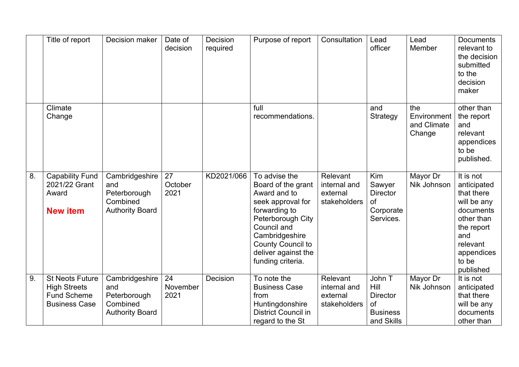|    | Title of report                                                                             | Decision maker                                                              | Date of<br>decision    | Decision<br>required | Purpose of report                                                                                                                                                                                                       | Consultation                                         | Lead<br>officer                                                          | Lead<br>Member                              | <b>Documents</b><br>relevant to<br>the decision<br>submitted<br>to the<br>decision<br>maker                                                           |
|----|---------------------------------------------------------------------------------------------|-----------------------------------------------------------------------------|------------------------|----------------------|-------------------------------------------------------------------------------------------------------------------------------------------------------------------------------------------------------------------------|------------------------------------------------------|--------------------------------------------------------------------------|---------------------------------------------|-------------------------------------------------------------------------------------------------------------------------------------------------------|
|    | Climate<br>Change                                                                           |                                                                             |                        |                      | full<br>recommendations.                                                                                                                                                                                                |                                                      | and<br>Strategy                                                          | the<br>Environment<br>and Climate<br>Change | other than<br>the report<br>and<br>relevant<br>appendices<br>to be<br>published.                                                                      |
| 8. | <b>Capability Fund</b><br>2021/22 Grant<br>Award<br><b>New item</b>                         | Cambridgeshire<br>and<br>Peterborough<br>Combined<br><b>Authority Board</b> | 27<br>October<br>2021  | KD2021/066           | To advise the<br>Board of the grant<br>Award and to<br>seek approval for<br>forwarding to<br>Peterborough City<br>Council and<br>Cambridgeshire<br><b>County Council to</b><br>deliver against the<br>funding criteria. | Relevant<br>internal and<br>external<br>stakeholders | Kim<br>Sawyer<br><b>Director</b><br>of<br>Corporate<br>Services.         | Mayor Dr<br>Nik Johnson                     | It is not<br>anticipated<br>that there<br>will be any<br>documents<br>other than<br>the report<br>and<br>relevant<br>appendices<br>to be<br>published |
| 9. | <b>St Neots Future</b><br><b>High Streets</b><br><b>Fund Scheme</b><br><b>Business Case</b> | Cambridgeshire<br>and<br>Peterborough<br>Combined<br><b>Authority Board</b> | 24<br>November<br>2021 | Decision             | To note the<br><b>Business Case</b><br>from<br>Huntingdonshire<br><b>District Council in</b><br>regard to the St                                                                                                        | Relevant<br>internal and<br>external<br>stakeholders | John T<br>Hill<br><b>Director</b><br>of<br><b>Business</b><br>and Skills | Mayor Dr<br>Nik Johnson                     | It is not<br>anticipated<br>that there<br>will be any<br>documents<br>other than                                                                      |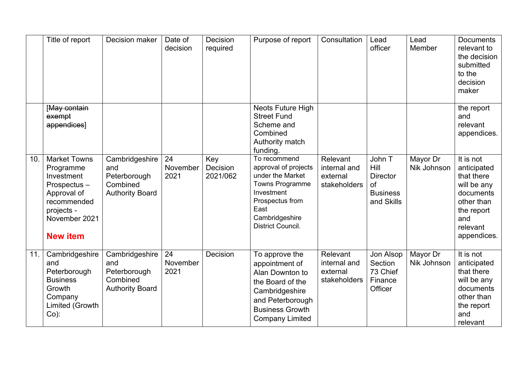|     | Title of report                                                                                                                               | <b>Decision maker</b>                                                       | Date of<br>decision    | Decision<br>required        | Purpose of report                                                                                                                                                 | Consultation                                         | Lead<br>officer                                                          | Lead<br>Member          | <b>Documents</b><br>relevant to<br>the decision<br>submitted<br>to the<br>decision<br>maker                                      |
|-----|-----------------------------------------------------------------------------------------------------------------------------------------------|-----------------------------------------------------------------------------|------------------------|-----------------------------|-------------------------------------------------------------------------------------------------------------------------------------------------------------------|------------------------------------------------------|--------------------------------------------------------------------------|-------------------------|----------------------------------------------------------------------------------------------------------------------------------|
|     | [May contain<br>exempt<br>appendices]                                                                                                         |                                                                             |                        |                             | <b>Neots Future High</b><br><b>Street Fund</b><br>Scheme and<br>Combined<br>Authority match<br>funding.                                                           |                                                      |                                                                          |                         | the report<br>and<br>relevant<br>appendices.                                                                                     |
| 10. | <b>Market Towns</b><br>Programme<br>Investment<br>Prospectus-<br>Approval of<br>recommended<br>projects -<br>November 2021<br><b>New item</b> | Cambridgeshire<br>and<br>Peterborough<br>Combined<br><b>Authority Board</b> | 24<br>November<br>2021 | Key<br>Decision<br>2021/062 | To recommend<br>approval of projects<br>under the Market<br>Towns Programme<br>Investment<br>Prospectus from<br>East<br>Cambridgeshire<br>District Council.       | Relevant<br>internal and<br>external<br>stakeholders | John T<br>Hill<br><b>Director</b><br>of<br><b>Business</b><br>and Skills | Mayor Dr<br>Nik Johnson | It is not<br>anticipated<br>that there<br>will be any<br>documents<br>other than<br>the report<br>and<br>relevant<br>appendices. |
| 11. | Cambridgeshire<br>and<br>Peterborough<br><b>Business</b><br>Growth<br>Company<br>Limited (Growth<br>$Co$ ):                                   | Cambridgeshire<br>and<br>Peterborough<br>Combined<br><b>Authority Board</b> | 24<br>November<br>2021 | Decision                    | To approve the<br>appointment of<br>Alan Downton to<br>the Board of the<br>Cambridgeshire<br>and Peterborough<br><b>Business Growth</b><br><b>Company Limited</b> | Relevant<br>internal and<br>external<br>stakeholders | Jon Alsop<br>Section<br>73 Chief<br>Finance<br>Officer                   | Mayor Dr<br>Nik Johnson | It is not<br>anticipated<br>that there<br>will be any<br>documents<br>other than<br>the report<br>and<br>relevant                |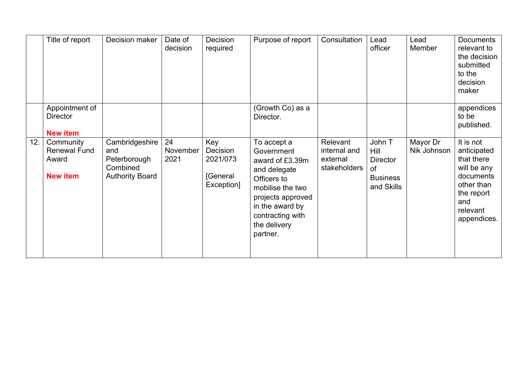|     | Title of report                                              | Decision maker                                                              | Date of<br>decision    | Decision<br>required                                  | Purpose of report                                                                                                                                                                       | Consultation                                         | Lead<br>officer                                                          | Lead<br>Member          | <b>Documents</b><br>relevant to<br>the decision<br>submitted<br>to the<br>decision<br>maker                                      |
|-----|--------------------------------------------------------------|-----------------------------------------------------------------------------|------------------------|-------------------------------------------------------|-----------------------------------------------------------------------------------------------------------------------------------------------------------------------------------------|------------------------------------------------------|--------------------------------------------------------------------------|-------------------------|----------------------------------------------------------------------------------------------------------------------------------|
|     | Appointment of<br><b>Director</b><br><b>New item</b>         |                                                                             |                        |                                                       | (Growth Co) as a<br>Director.                                                                                                                                                           |                                                      |                                                                          |                         | appendices<br>to be<br>published.                                                                                                |
| 12. | Community<br><b>Renewal Fund</b><br>Award<br><b>New item</b> | Cambridgeshire<br>and<br>Peterborough<br>Combined<br><b>Authority Board</b> | 24<br>November<br>2021 | Key<br>Decision<br>2021/073<br>[General<br>Exception] | To accept a<br>Government<br>award of £3.39m<br>and delegate<br>Officers to<br>mobilise the two<br>projects approved<br>in the award by<br>contracting with<br>the delivery<br>partner. | Relevant<br>internal and<br>external<br>stakeholders | John T<br>Hill<br><b>Director</b><br>of<br><b>Business</b><br>and Skills | Mayor Dr<br>Nik Johnson | It is not<br>anticipated<br>that there<br>will be any<br>documents<br>other than<br>the report<br>and<br>relevant<br>appendices. |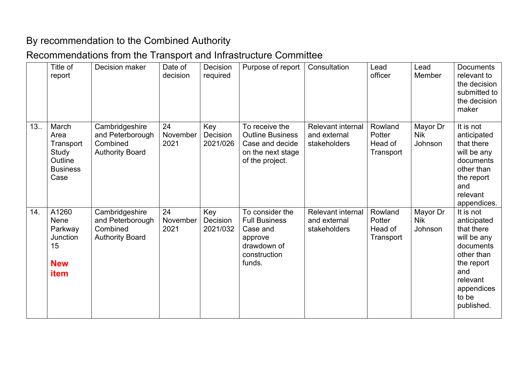## By recommendation to the Combined Authority

## Recommendations from the Transport and Infrastructure Committee

|     | Title of<br>report                                                        | Decision maker                                                           | Date of<br>decision    | Decision<br>required               | Purpose of report                                                                                       | Consultation                                             | Lead<br>officer                           | Lead<br>Member                    | <b>Documents</b><br>relevant to<br>the decision<br>submitted to<br>the decision<br>maker                                                               |
|-----|---------------------------------------------------------------------------|--------------------------------------------------------------------------|------------------------|------------------------------------|---------------------------------------------------------------------------------------------------------|----------------------------------------------------------|-------------------------------------------|-----------------------------------|--------------------------------------------------------------------------------------------------------------------------------------------------------|
| 13. | March<br>Area<br>Transport<br>Study<br>Outline<br><b>Business</b><br>Case | Cambridgeshire<br>and Peterborough<br>Combined<br><b>Authority Board</b> | 24<br>November<br>2021 | Key<br>Decision<br>2021/026        | To receive the<br><b>Outline Business</b><br>Case and decide<br>on the next stage<br>of the project.    | <b>Relevant internal</b><br>and external<br>stakeholders | Rowland<br>Potter<br>Head of<br>Transport | Mayor Dr<br><b>Nik</b><br>Johnson | It is not<br>anticipated<br>that there<br>will be any<br>documents<br>other than<br>the report<br>and<br>relevant<br>appendices.                       |
| 14. | A1260<br><b>Nene</b><br>Parkway<br>Junction<br>15<br><b>New</b><br>item   | Cambridgeshire<br>and Peterborough<br>Combined<br><b>Authority Board</b> | 24<br>November<br>2021 | Key<br><b>Decision</b><br>2021/032 | To consider the<br><b>Full Business</b><br>Case and<br>approve<br>drawdown of<br>construction<br>funds. | <b>Relevant internal</b><br>and external<br>stakeholders | Rowland<br>Potter<br>Head of<br>Transport | Mayor Dr<br><b>Nik</b><br>Johnson | It is not<br>anticipated<br>that there<br>will be any<br>documents<br>other than<br>the report<br>and<br>relevant<br>appendices<br>to be<br>published. |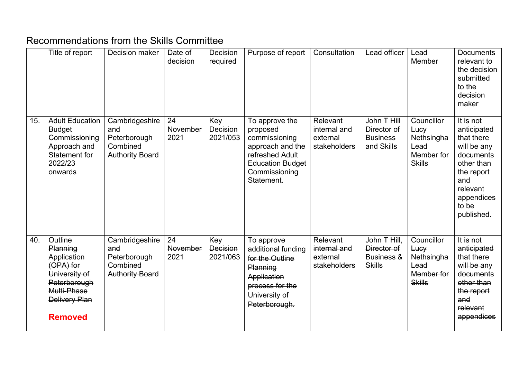## Recommendations from the Skills Committee

|     | Title of report                                                                                                                                                | Decision maker                                                                     | Date of<br>decision           | Decision<br>required               | Purpose of report                                                                                                                            | Consultation                                         | Lead officer                                                | Lead<br>Member                                                                        | <b>Documents</b><br>relevant to<br>the decision<br>submitted<br>to the<br>decision<br>maker                                                            |
|-----|----------------------------------------------------------------------------------------------------------------------------------------------------------------|------------------------------------------------------------------------------------|-------------------------------|------------------------------------|----------------------------------------------------------------------------------------------------------------------------------------------|------------------------------------------------------|-------------------------------------------------------------|---------------------------------------------------------------------------------------|--------------------------------------------------------------------------------------------------------------------------------------------------------|
| 15. | <b>Adult Education</b><br><b>Budget</b><br>Commissioning<br>Approach and<br><b>Statement for</b><br>2022/23<br>onwards                                         | Cambridgeshire<br>and<br>Peterborough<br>Combined<br><b>Authority Board</b>        | 24<br>November<br>2021        | Key<br>Decision<br>2021/053        | To approve the<br>proposed<br>commissioning<br>approach and the<br>refreshed Adult<br><b>Education Budget</b><br>Commissioning<br>Statement. | Relevant<br>internal and<br>external<br>stakeholders | John T Hill<br>Director of<br><b>Business</b><br>and Skills | Councillor<br>Lucy<br>Nethsingha<br>Lead<br>Member for<br><b>Skills</b>               | It is not<br>anticipated<br>that there<br>will be any<br>documents<br>other than<br>the report<br>and<br>relevant<br>appendices<br>to be<br>published. |
| 40. | <b>Outline</b><br><b>Planning</b><br>Application<br>(OPA) for<br>University of<br>Peterborough<br><b>Multi-Phase</b><br><b>Delivery Plan</b><br><b>Removed</b> | <b>Cambridgeshire</b><br>and<br>Peterborough<br>Combined<br><b>Authority Board</b> | 24<br><b>November</b><br>2021 | Key<br><b>Decision</b><br>2021/063 | To approve<br>additional funding<br>for the Outline<br>Planning<br>Application<br>process for the<br>University of<br>Peterborough.          | Relevant<br>internal and<br>external<br>stakeholders | John T Hill,<br>Director of<br>Business &<br><b>Skills</b>  | <b>Councillor</b><br><b>Lucy</b><br>Nethsingha<br>Lead<br>Member for<br><b>Skills</b> | It is not<br>anticipated<br>that there<br>will be any<br>documents<br>other than<br>the report<br>and<br>relevant<br>appendices                        |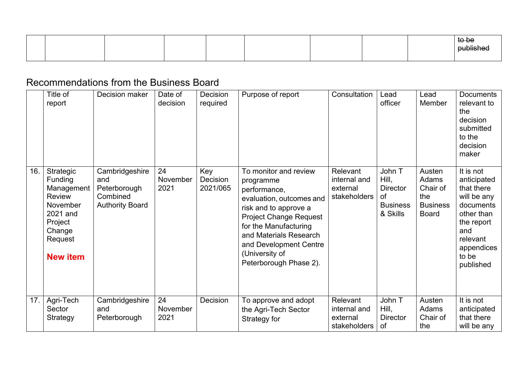|  |  |  |  | to be               |
|--|--|--|--|---------------------|
|  |  |  |  | $\sim$<br>- -<br>`` |
|  |  |  |  |                     |

### Recommendations from the Business Board

|     | Title of<br>report                                                                                                                    | Decision maker                                                              | Date of<br>decision    | Decision<br>required        | Purpose of report                                                                                                                                                                                                                                                 | Consultation                                         | Lead<br>officer                                                         | Lead<br>Member                                                        | <b>Documents</b><br>relevant to<br>the<br>decision<br>submitted<br>to the<br>decision<br>maker                                                        |
|-----|---------------------------------------------------------------------------------------------------------------------------------------|-----------------------------------------------------------------------------|------------------------|-----------------------------|-------------------------------------------------------------------------------------------------------------------------------------------------------------------------------------------------------------------------------------------------------------------|------------------------------------------------------|-------------------------------------------------------------------------|-----------------------------------------------------------------------|-------------------------------------------------------------------------------------------------------------------------------------------------------|
| 16. | Strategic<br><b>Funding</b><br>Management<br><b>Review</b><br>November<br>2021 and<br>Project<br>Change<br>Request<br><b>New item</b> | Cambridgeshire<br>and<br>Peterborough<br>Combined<br><b>Authority Board</b> | 24<br>November<br>2021 | Key<br>Decision<br>2021/065 | To monitor and review<br>programme<br>performance,<br>evaluation, outcomes and<br>risk and to approve a<br><b>Project Change Request</b><br>for the Manufacturing<br>and Materials Research<br>and Development Centre<br>(University of<br>Peterborough Phase 2). | Relevant<br>internal and<br>external<br>stakeholders | John T<br>Hill,<br><b>Director</b><br>of<br><b>Business</b><br>& Skills | Austen<br>Adams<br>Chair of<br>the<br><b>Business</b><br><b>Board</b> | It is not<br>anticipated<br>that there<br>will be any<br>documents<br>other than<br>the report<br>and<br>relevant<br>appendices<br>to be<br>published |
| 17. | Agri-Tech<br>Sector<br>Strategy                                                                                                       | Cambridgeshire<br>and<br>Peterborough                                       | 24<br>November<br>2021 | Decision                    | To approve and adopt<br>the Agri-Tech Sector<br>Strategy for                                                                                                                                                                                                      | Relevant<br>internal and<br>external<br>stakeholders | John T<br>Hill,<br><b>Director</b><br>of                                | Austen<br>Adams<br>Chair of<br>the                                    | It is not<br>anticipated<br>that there<br>will be any                                                                                                 |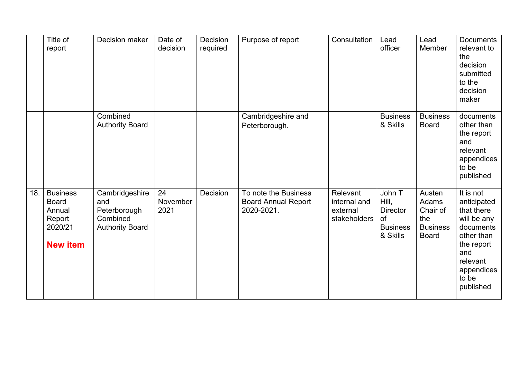|     | Title of<br>report                                                                | Decision maker                                                              | Date of<br>decision    | Decision<br>required | Purpose of report                                                | Consultation                                         | Lead<br>officer                                                         | Lead<br>Member                                                        | <b>Documents</b><br>relevant to<br>the<br>decision<br>submitted<br>to the<br>decision<br>maker                                                        |
|-----|-----------------------------------------------------------------------------------|-----------------------------------------------------------------------------|------------------------|----------------------|------------------------------------------------------------------|------------------------------------------------------|-------------------------------------------------------------------------|-----------------------------------------------------------------------|-------------------------------------------------------------------------------------------------------------------------------------------------------|
|     |                                                                                   | Combined<br><b>Authority Board</b>                                          |                        |                      | Cambridgeshire and<br>Peterborough.                              |                                                      | <b>Business</b><br>& Skills                                             | <b>Business</b><br><b>Board</b>                                       | documents<br>other than<br>the report<br>and<br>relevant<br>appendices<br>to be<br>published                                                          |
| 18. | <b>Business</b><br><b>Board</b><br>Annual<br>Report<br>2020/21<br><b>New item</b> | Cambridgeshire<br>and<br>Peterborough<br>Combined<br><b>Authority Board</b> | 24<br>November<br>2021 | Decision             | To note the Business<br><b>Board Annual Report</b><br>2020-2021. | Relevant<br>internal and<br>external<br>stakeholders | John T<br>Hill,<br><b>Director</b><br>of<br><b>Business</b><br>& Skills | Austen<br>Adams<br>Chair of<br>the<br><b>Business</b><br><b>Board</b> | It is not<br>anticipated<br>that there<br>will be any<br>documents<br>other than<br>the report<br>and<br>relevant<br>appendices<br>to be<br>published |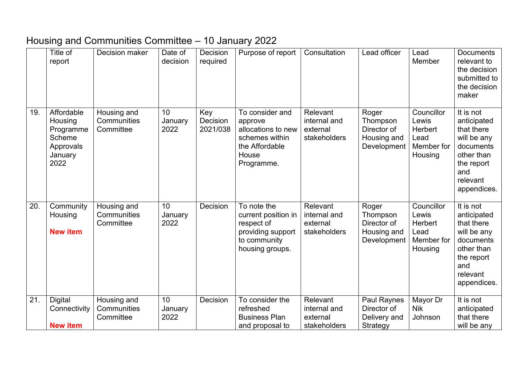## Housing and Communities Committee – 10 January 2022

|     | Title of<br>report                                                           | Decision maker                          | Date of<br>decision   | Decision<br>required        | Purpose of report                                                                                           | Consultation                                         | Lead officer                                                   | Lead<br>Member                                                  | <b>Documents</b><br>relevant to<br>the decision<br>submitted to<br>the decision<br>maker                                         |
|-----|------------------------------------------------------------------------------|-----------------------------------------|-----------------------|-----------------------------|-------------------------------------------------------------------------------------------------------------|------------------------------------------------------|----------------------------------------------------------------|-----------------------------------------------------------------|----------------------------------------------------------------------------------------------------------------------------------|
| 19. | Affordable<br>Housing<br>Programme<br>Scheme<br>Approvals<br>January<br>2022 | Housing and<br>Communities<br>Committee | 10<br>January<br>2022 | Key<br>Decision<br>2021/038 | To consider and<br>approve<br>allocations to new<br>schemes within<br>the Affordable<br>House<br>Programme. | Relevant<br>internal and<br>external<br>stakeholders | Roger<br>Thompson<br>Director of<br>Housing and<br>Development | Councillor<br>Lewis<br>Herbert<br>Lead<br>Member for<br>Housing | It is not<br>anticipated<br>that there<br>will be any<br>documents<br>other than<br>the report<br>and<br>relevant<br>appendices. |
| 20. | Community<br>Housing<br><b>New item</b>                                      | Housing and<br>Communities<br>Committee | 10<br>January<br>2022 | Decision                    | To note the<br>current position in<br>respect of<br>providing support<br>to community<br>housing groups.    | Relevant<br>internal and<br>external<br>stakeholders | Roger<br>Thompson<br>Director of<br>Housing and<br>Development | Councillor<br>Lewis<br>Herbert<br>Lead<br>Member for<br>Housing | It is not<br>anticipated<br>that there<br>will be any<br>documents<br>other than<br>the report<br>and<br>relevant<br>appendices. |
| 21. | <b>Digital</b><br>Connectivity<br><b>New item</b>                            | Housing and<br>Communities<br>Committee | 10<br>January<br>2022 | Decision                    | To consider the<br>refreshed<br><b>Business Plan</b><br>and proposal to                                     | Relevant<br>internal and<br>external<br>stakeholders | Paul Raynes<br>Director of<br>Delivery and<br>Strategy         | Mayor Dr<br><b>Nik</b><br>Johnson                               | It is not<br>anticipated<br>that there<br>will be any                                                                            |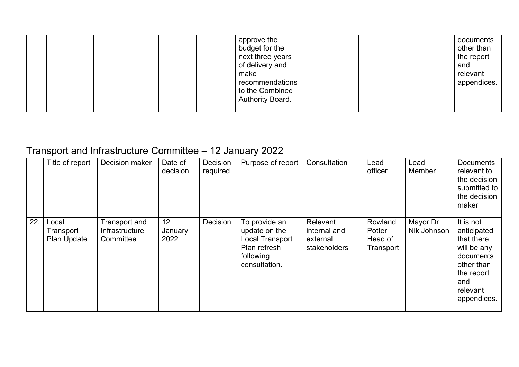|  |  | approve the<br>budget for the<br>next three years<br>of delivery and<br>make<br>recommendations<br>to the Combined |  | documents<br>other than<br>the report<br>and<br>relevant<br>appendices. |
|--|--|--------------------------------------------------------------------------------------------------------------------|--|-------------------------------------------------------------------------|
|  |  | <b>Authority Board.</b>                                                                                            |  |                                                                         |

## Transport and Infrastructure Committee – 12 January 2022

|     | Title of report                   | Decision maker                                      | Date of<br>decision   | Decision<br>required | Purpose of report                                                                               | Consultation                                         | Lead<br>officer                           | Lead<br>Member          | <b>Documents</b><br>relevant to<br>the decision<br>submitted to<br>the decision<br>maker                                         |
|-----|-----------------------------------|-----------------------------------------------------|-----------------------|----------------------|-------------------------------------------------------------------------------------------------|------------------------------------------------------|-------------------------------------------|-------------------------|----------------------------------------------------------------------------------------------------------------------------------|
| 22. | Local<br>Transport<br>Plan Update | <b>Transport and</b><br>Infrastructure<br>Committee | 12<br>January<br>2022 | Decision             | To provide an<br>update on the<br>Local Transport<br>Plan refresh<br>following<br>consultation. | Relevant<br>internal and<br>external<br>stakeholders | Rowland<br>Potter<br>Head of<br>Transport | Mayor Dr<br>Nik Johnson | It is not<br>anticipated<br>that there<br>will be any<br>documents<br>other than<br>the report<br>and<br>relevant<br>appendices. |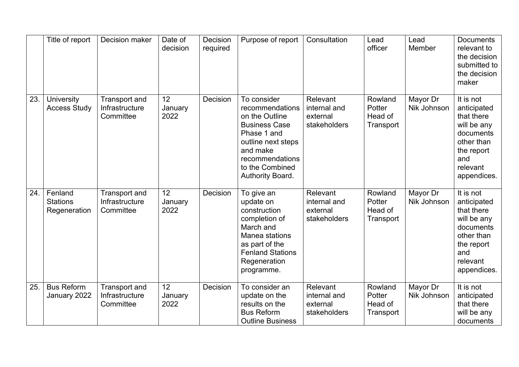|     | Title of report                            | <b>Decision maker</b>                               | Date of<br>decision                | Decision<br>required | Purpose of report                                                                                                                                                                   | Consultation                                         | Lead<br>officer                           | Lead<br>Member          | <b>Documents</b><br>relevant to<br>the decision<br>submitted to<br>the decision<br>maker                                         |
|-----|--------------------------------------------|-----------------------------------------------------|------------------------------------|----------------------|-------------------------------------------------------------------------------------------------------------------------------------------------------------------------------------|------------------------------------------------------|-------------------------------------------|-------------------------|----------------------------------------------------------------------------------------------------------------------------------|
| 23. | University<br><b>Access Study</b>          | Transport and<br>Infrastructure<br>Committee        | 12 <sup>2</sup><br>January<br>2022 | Decision             | To consider<br>recommendations<br>on the Outline<br><b>Business Case</b><br>Phase 1 and<br>outline next steps<br>and make<br>recommendations<br>to the Combined<br>Authority Board. | Relevant<br>internal and<br>external<br>stakeholders | Rowland<br>Potter<br>Head of<br>Transport | Mayor Dr<br>Nik Johnson | It is not<br>anticipated<br>that there<br>will be any<br>documents<br>other than<br>the report<br>and<br>relevant<br>appendices. |
| 24. | Fenland<br><b>Stations</b><br>Regeneration | <b>Transport and</b><br>Infrastructure<br>Committee | 12 <sup>2</sup><br>January<br>2022 | Decision             | To give an<br>update on<br>construction<br>completion of<br>March and<br>Manea stations<br>as part of the<br><b>Fenland Stations</b><br>Regeneration<br>programme.                  | Relevant<br>internal and<br>external<br>stakeholders | Rowland<br>Potter<br>Head of<br>Transport | Mayor Dr<br>Nik Johnson | It is not<br>anticipated<br>that there<br>will be any<br>documents<br>other than<br>the report<br>and<br>relevant<br>appendices. |
| 25. | <b>Bus Reform</b><br>January 2022          | <b>Transport and</b><br>Infrastructure<br>Committee | 12 <sup>2</sup><br>January<br>2022 | Decision             | $\overline{To}$ consider an<br>update on the<br>results on the<br><b>Bus Reform</b><br><b>Outline Business</b>                                                                      | Relevant<br>internal and<br>external<br>stakeholders | Rowland<br>Potter<br>Head of<br>Transport | Mayor Dr<br>Nik Johnson | It is not<br>anticipated<br>that there<br>will be any<br>documents                                                               |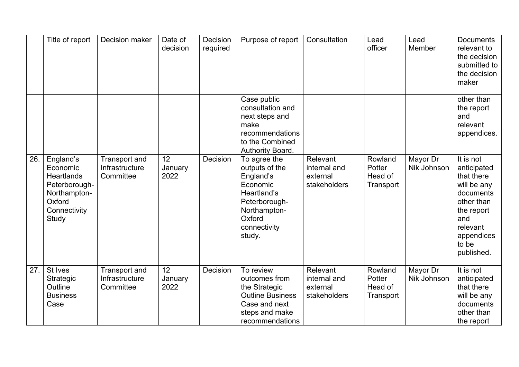|     | Title of report                                                                                                | <b>Decision maker</b>                               | Date of<br>decision                | Decision<br>required | Purpose of report                                                                                                                           | Consultation                                         | Lead<br>officer                           | Lead<br>Member          | <b>Documents</b><br>relevant to<br>the decision<br>submitted to<br>the decision<br>maker                                                               |
|-----|----------------------------------------------------------------------------------------------------------------|-----------------------------------------------------|------------------------------------|----------------------|---------------------------------------------------------------------------------------------------------------------------------------------|------------------------------------------------------|-------------------------------------------|-------------------------|--------------------------------------------------------------------------------------------------------------------------------------------------------|
|     |                                                                                                                |                                                     |                                    |                      | Case public<br>consultation and<br>next steps and<br>make<br>recommendations<br>to the Combined<br>Authority Board.                         |                                                      |                                           |                         | other than<br>the report<br>and<br>relevant<br>appendices.                                                                                             |
| 26. | England's<br>Economic<br><b>Heartlands</b><br>Peterborough-<br>Northampton-<br>Oxford<br>Connectivity<br>Study | <b>Transport and</b><br>Infrastructure<br>Committee | 12 <sup>2</sup><br>January<br>2022 | Decision             | To agree the<br>outputs of the<br>England's<br>Economic<br>Heartland's<br>Peterborough-<br>Northampton-<br>Oxford<br>connectivity<br>study. | Relevant<br>internal and<br>external<br>stakeholders | Rowland<br>Potter<br>Head of<br>Transport | Mayor Dr<br>Nik Johnson | It is not<br>anticipated<br>that there<br>will be any<br>documents<br>other than<br>the report<br>and<br>relevant<br>appendices<br>to be<br>published. |
| 27. | St Ives<br>Strategic<br>Outline<br><b>Business</b><br>Case                                                     | <b>Transport and</b><br>Infrastructure<br>Committee | 12 <sup>°</sup><br>January<br>2022 | Decision             | To review<br>outcomes from<br>the Strategic<br><b>Outline Business</b><br>Case and next<br>steps and make<br>recommendations                | Relevant<br>internal and<br>external<br>stakeholders | Rowland<br>Potter<br>Head of<br>Transport | Mayor Dr<br>Nik Johnson | It is not<br>anticipated<br>that there<br>will be any<br>documents<br>other than<br>the report                                                         |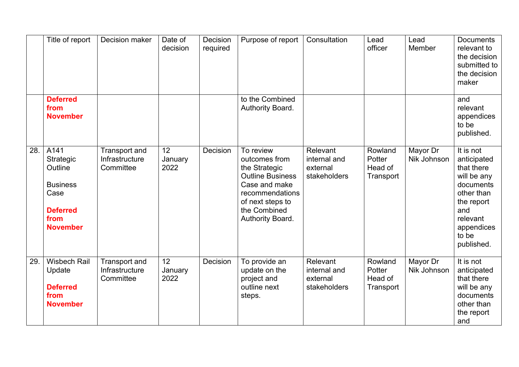|     | Title of report                                                                                       | <b>Decision maker</b>                               | Date of<br>decision   | Decision<br>required | Purpose of report                                                                                                                                                  | Consultation                                         | Lead<br>officer                           | Lead<br>Member          | <b>Documents</b><br>relevant to<br>the decision<br>submitted to<br>the decision<br>maker                                                               |
|-----|-------------------------------------------------------------------------------------------------------|-----------------------------------------------------|-----------------------|----------------------|--------------------------------------------------------------------------------------------------------------------------------------------------------------------|------------------------------------------------------|-------------------------------------------|-------------------------|--------------------------------------------------------------------------------------------------------------------------------------------------------|
|     | <b>Deferred</b><br>from<br><b>November</b>                                                            |                                                     |                       |                      | to the Combined<br>Authority Board.                                                                                                                                |                                                      |                                           |                         | and<br>relevant<br>appendices<br>to be<br>published.                                                                                                   |
| 28. | A141<br>Strategic<br>Outline<br><b>Business</b><br>Case<br><b>Deferred</b><br>from<br><b>November</b> | <b>Transport and</b><br>Infrastructure<br>Committee | 12<br>January<br>2022 | Decision             | To review<br>outcomes from<br>the Strategic<br><b>Outline Business</b><br>Case and make<br>recommendations<br>of next steps to<br>the Combined<br>Authority Board. | Relevant<br>internal and<br>external<br>stakeholders | Rowland<br>Potter<br>Head of<br>Transport | Mayor Dr<br>Nik Johnson | It is not<br>anticipated<br>that there<br>will be any<br>documents<br>other than<br>the report<br>and<br>relevant<br>appendices<br>to be<br>published. |
| 29. | <b>Wisbech Rail</b><br>Update<br><b>Deferred</b><br>from<br><b>November</b>                           | <b>Transport and</b><br>Infrastructure<br>Committee | 12<br>January<br>2022 | Decision             | To provide an<br>update on the<br>project and<br>outline next<br>steps.                                                                                            | Relevant<br>internal and<br>external<br>stakeholders | Rowland<br>Potter<br>Head of<br>Transport | Mayor Dr<br>Nik Johnson | It is not<br>anticipated<br>that there<br>will be any<br>documents<br>other than<br>the report<br>and                                                  |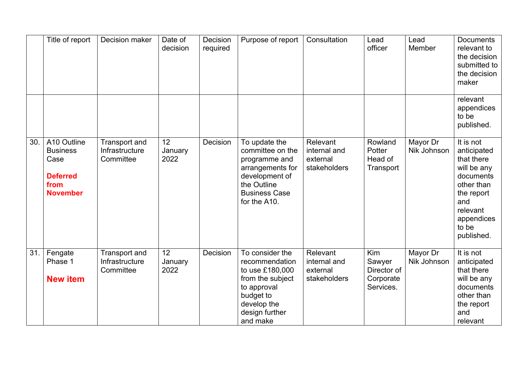|     | Title of report                                                                      | <b>Decision maker</b>                               | Date of<br>decision   | Decision<br>required | Purpose of report                                                                                                                                 | Consultation                                         | Lead<br>officer                                        | Lead<br>Member          | <b>Documents</b><br>relevant to<br>the decision<br>submitted to<br>the decision<br>maker                                                               |
|-----|--------------------------------------------------------------------------------------|-----------------------------------------------------|-----------------------|----------------------|---------------------------------------------------------------------------------------------------------------------------------------------------|------------------------------------------------------|--------------------------------------------------------|-------------------------|--------------------------------------------------------------------------------------------------------------------------------------------------------|
|     |                                                                                      |                                                     |                       |                      |                                                                                                                                                   |                                                      |                                                        |                         | relevant<br>appendices<br>to be<br>published.                                                                                                          |
| 30. | A10 Outline<br><b>Business</b><br>Case<br><b>Deferred</b><br>from<br><b>November</b> | <b>Transport and</b><br>Infrastructure<br>Committee | 12<br>January<br>2022 | Decision             | To update the<br>committee on the<br>programme and<br>arrangements for<br>development of<br>the Outline<br><b>Business Case</b><br>for the A10.   | Relevant<br>internal and<br>external<br>stakeholders | Rowland<br>Potter<br>Head of<br>Transport              | Mayor Dr<br>Nik Johnson | It is not<br>anticipated<br>that there<br>will be any<br>documents<br>other than<br>the report<br>and<br>relevant<br>appendices<br>to be<br>published. |
| 31. | Fengate<br>Phase 1<br><b>New item</b>                                                | <b>Transport and</b><br>Infrastructure<br>Committee | 12<br>January<br>2022 | Decision             | To consider the<br>recommendation<br>to use £180,000<br>from the subject<br>to approval<br>budget to<br>develop the<br>design further<br>and make | Relevant<br>internal and<br>external<br>stakeholders | Kim<br>Sawyer<br>Director of<br>Corporate<br>Services. | Mayor Dr<br>Nik Johnson | It is not<br>anticipated<br>that there<br>will be any<br>documents<br>other than<br>the report<br>and<br>relevant                                      |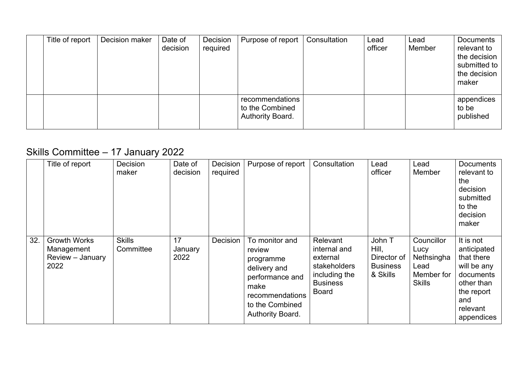| Title of report | Decision maker | Date of<br>decision | Decision<br>required | Purpose of report                                             | Consultation | Lead<br>officer | Lead<br>Member | <b>Documents</b><br>relevant to<br>the decision<br>submitted to<br>the decision<br>maker |
|-----------------|----------------|---------------------|----------------------|---------------------------------------------------------------|--------------|-----------------|----------------|------------------------------------------------------------------------------------------|
|                 |                |                     |                      | recommendations<br>to the Combined<br><b>Authority Board.</b> |              |                 |                | appendices<br>to be<br>published                                                         |

## Skills Committee – 17 January 2022

|     | Title of report                                               | Decision<br>maker          | Date of<br>decision   | Decision<br>required | Purpose of report                                                                                                                          | Consultation                                                                                             | Lead<br>officer                                               | Lead<br>Member                                                          | <b>Documents</b><br>relevant to<br>the<br>decision<br>submitted<br>to the<br>decision<br>maker                                  |
|-----|---------------------------------------------------------------|----------------------------|-----------------------|----------------------|--------------------------------------------------------------------------------------------------------------------------------------------|----------------------------------------------------------------------------------------------------------|---------------------------------------------------------------|-------------------------------------------------------------------------|---------------------------------------------------------------------------------------------------------------------------------|
| 32. | <b>Growth Works</b><br>Management<br>Review - January<br>2022 | <b>Skills</b><br>Committee | 17<br>January<br>2022 | Decision             | To monitor and<br>review<br>programme<br>delivery and<br>performance and<br>make<br>recommendations<br>to the Combined<br>Authority Board. | Relevant<br>internal and<br>external<br>stakeholders<br>including the<br><b>Business</b><br><b>Board</b> | John T<br>Hill,<br>Director of<br><b>Business</b><br>& Skills | Councillor<br>Lucy<br>Nethsingha<br>Lead<br>Member for<br><b>Skills</b> | It is not<br>anticipated<br>that there<br>will be any<br>documents<br>other than<br>the report<br>and<br>relevant<br>appendices |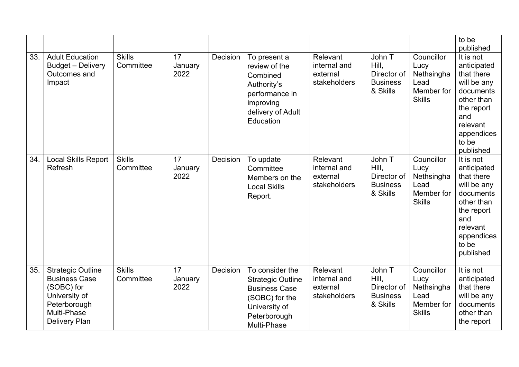| 33. | <b>Adult Education</b><br><b>Budget - Delivery</b><br>Outcomes and<br>Impact                                                           | <b>Skills</b><br>Committee | 17<br>January<br>2022 | Decision | To present a<br>review of the<br>Combined<br>Authority's<br>performance in<br>improving<br>delivery of Adult<br>Education             | Relevant<br>internal and<br>external<br>stakeholders | John T<br>Hill,<br>Director of<br><b>Business</b><br>& Skills | Councillor<br>Lucy<br>Nethsingha<br>Lead<br>Member for<br><b>Skills</b> | to be<br>published<br>It is not<br>anticipated<br>that there<br>will be any<br>documents<br>other than<br>the report<br>and<br>relevant<br>appendices<br>to be<br>published |
|-----|----------------------------------------------------------------------------------------------------------------------------------------|----------------------------|-----------------------|----------|---------------------------------------------------------------------------------------------------------------------------------------|------------------------------------------------------|---------------------------------------------------------------|-------------------------------------------------------------------------|-----------------------------------------------------------------------------------------------------------------------------------------------------------------------------|
| 34. | <b>Local Skills Report</b><br>Refresh                                                                                                  | <b>Skills</b><br>Committee | 17<br>January<br>2022 | Decision | To update<br>Committee<br>Members on the<br><b>Local Skills</b><br>Report.                                                            | Relevant<br>internal and<br>external<br>stakeholders | John T<br>Hill,<br>Director of<br><b>Business</b><br>& Skills | Councillor<br>Lucy<br>Nethsingha<br>Lead<br>Member for<br><b>Skills</b> | It is not<br>anticipated<br>that there<br>will be any<br>documents<br>other than<br>the report<br>and<br>relevant<br>appendices<br>to be<br>published                       |
| 35. | <b>Strategic Outline</b><br><b>Business Case</b><br>(SOBC) for<br>University of<br>Peterborough<br>Multi-Phase<br><b>Delivery Plan</b> | <b>Skills</b><br>Committee | 17<br>January<br>2022 | Decision | To consider the<br><b>Strategic Outline</b><br><b>Business Case</b><br>(SOBC) for the<br>University of<br>Peterborough<br>Multi-Phase | Relevant<br>internal and<br>external<br>stakeholders | John T<br>Hill,<br>Director of<br><b>Business</b><br>& Skills | Councillor<br>Lucy<br>Nethsingha<br>Lead<br>Member for<br><b>Skills</b> | It is not<br>anticipated<br>that there<br>will be any<br>documents<br>other than<br>the report                                                                              |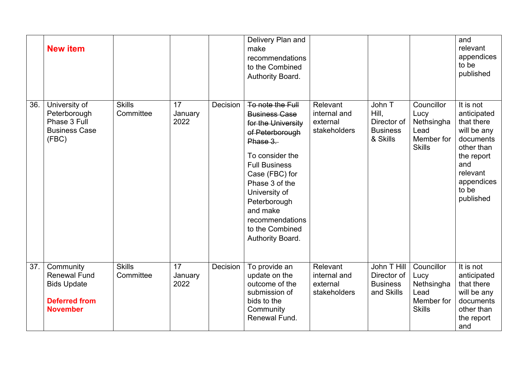|     | <b>New item</b>                                                                                   |                            |                       |                 | Delivery Plan and<br>make<br>recommendations<br>to the Combined<br>Authority Board.                                                                                                                                                                                                 |                                                      |                                                               |                                                                         | and<br>relevant<br>appendices<br>to be<br>published                                                                                                   |
|-----|---------------------------------------------------------------------------------------------------|----------------------------|-----------------------|-----------------|-------------------------------------------------------------------------------------------------------------------------------------------------------------------------------------------------------------------------------------------------------------------------------------|------------------------------------------------------|---------------------------------------------------------------|-------------------------------------------------------------------------|-------------------------------------------------------------------------------------------------------------------------------------------------------|
| 36. | University of<br>Peterborough<br>Phase 3 Full<br><b>Business Case</b><br>(FBC)                    | <b>Skills</b><br>Committee | 17<br>January<br>2022 | <b>Decision</b> | To note the Full<br><b>Business Case</b><br>for the University<br>of Peterborough<br>Phase 3.<br>To consider the<br><b>Full Business</b><br>Case (FBC) for<br>Phase 3 of the<br>University of<br>Peterborough<br>and make<br>recommendations<br>to the Combined<br>Authority Board. | Relevant<br>internal and<br>external<br>stakeholders | John T<br>Hill,<br>Director of<br><b>Business</b><br>& Skills | Councillor<br>Lucy<br>Nethsingha<br>Lead<br>Member for<br><b>Skills</b> | It is not<br>anticipated<br>that there<br>will be any<br>documents<br>other than<br>the report<br>and<br>relevant<br>appendices<br>to be<br>published |
| 37. | Community<br><b>Renewal Fund</b><br><b>Bids Update</b><br><b>Deferred from</b><br><b>November</b> | <b>Skills</b><br>Committee | 17<br>January<br>2022 | Decision        | To provide an<br>update on the<br>outcome of the<br>submission of<br>bids to the<br>Community<br>Renewal Fund.                                                                                                                                                                      | Relevant<br>internal and<br>external<br>stakeholders | John T Hill<br>Director of<br><b>Business</b><br>and Skills   | Councillor<br>Lucy<br>Nethsingha<br>Lead<br>Member for<br><b>Skills</b> | It is not<br>anticipated<br>that there<br>will be any<br>documents<br>other than<br>the report<br>and                                                 |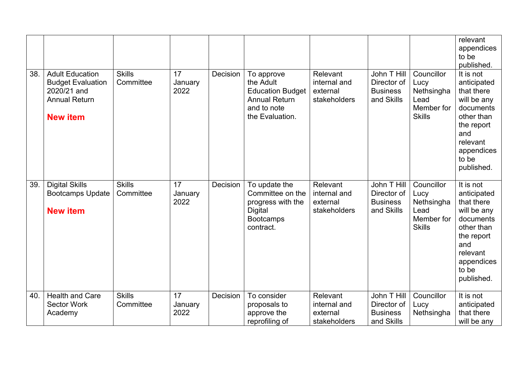|     |                                                                                                              |                            |                       |          |                                                                                                              |                                                      |                                                             |                                                                         | relevant<br>appendices<br>to be<br>published.                                                                                                          |
|-----|--------------------------------------------------------------------------------------------------------------|----------------------------|-----------------------|----------|--------------------------------------------------------------------------------------------------------------|------------------------------------------------------|-------------------------------------------------------------|-------------------------------------------------------------------------|--------------------------------------------------------------------------------------------------------------------------------------------------------|
| 38. | <b>Adult Education</b><br><b>Budget Evaluation</b><br>2020/21 and<br><b>Annual Return</b><br><b>New item</b> | <b>Skills</b><br>Committee | 17<br>January<br>2022 | Decision | To approve<br>the Adult<br><b>Education Budget</b><br><b>Annual Return</b><br>and to note<br>the Evaluation. | Relevant<br>internal and<br>external<br>stakeholders | John T Hill<br>Director of<br><b>Business</b><br>and Skills | Councillor<br>Lucy<br>Nethsingha<br>Lead<br>Member for<br><b>Skills</b> | It is not<br>anticipated<br>that there<br>will be any<br>documents<br>other than<br>the report<br>and<br>relevant<br>appendices<br>to be<br>published. |
| 39. | <b>Digital Skills</b><br><b>Bootcamps Update</b><br><b>New item</b>                                          | <b>Skills</b><br>Committee | 17<br>January<br>2022 | Decision | To update the<br>Committee on the<br>progress with the<br><b>Digital</b><br><b>Bootcamps</b><br>contract.    | Relevant<br>internal and<br>external<br>stakeholders | John T Hill<br>Director of<br><b>Business</b><br>and Skills | Councillor<br>Lucy<br>Nethsingha<br>Lead<br>Member for<br><b>Skills</b> | It is not<br>anticipated<br>that there<br>will be any<br>documents<br>other than<br>the report<br>and<br>relevant<br>appendices<br>to be<br>published. |
| 40. | <b>Health and Care</b><br><b>Sector Work</b><br>Academy                                                      | <b>Skills</b><br>Committee | 17<br>January<br>2022 | Decision | To consider<br>proposals to<br>approve the<br>reprofiling of                                                 | Relevant<br>internal and<br>external<br>stakeholders | John T Hill<br>Director of<br><b>Business</b><br>and Skills | Councillor<br>Lucy<br>Nethsingha                                        | It is not<br>anticipated<br>that there<br>will be any                                                                                                  |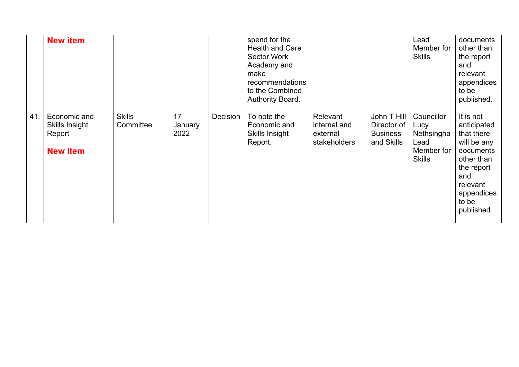|     | <b>New item</b>                                                    |                            |                       |          | spend for the<br><b>Health and Care</b><br><b>Sector Work</b><br>Academy and<br>make<br>recommendations<br>to the Combined<br><b>Authority Board.</b> |                                                      |                                                             | Lead<br>Member for<br><b>Skills</b>                                     | documents<br>other than<br>the report<br>and<br>relevant<br>appendices<br>to be<br>published.                                                          |
|-----|--------------------------------------------------------------------|----------------------------|-----------------------|----------|-------------------------------------------------------------------------------------------------------------------------------------------------------|------------------------------------------------------|-------------------------------------------------------------|-------------------------------------------------------------------------|--------------------------------------------------------------------------------------------------------------------------------------------------------|
| 41. | Economic and<br><b>Skills Insight</b><br>Report<br><b>New item</b> | <b>Skills</b><br>Committee | 17<br>January<br>2022 | Decision | To note the<br>Economic and<br>Skills Insight<br>Report.                                                                                              | Relevant<br>internal and<br>external<br>stakeholders | John T Hill<br>Director of<br><b>Business</b><br>and Skills | Councillor<br>Lucy<br>Nethsingha<br>Lead<br>Member for<br><b>Skills</b> | It is not<br>anticipated<br>that there<br>will be any<br>documents<br>other than<br>the report<br>and<br>relevant<br>appendices<br>to be<br>published. |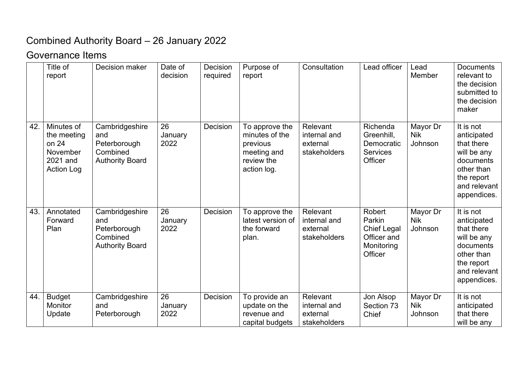## Combined Authority Board – 26 January 2022

### Governance Items

|     | Title of<br>report                                                              | <b>Decision maker</b>                                                       | Date of<br>decision   | Decision<br>required | Purpose of<br>report                                                                     | Consultation                                         | Lead officer                                                                   | Lead<br>Member                    | <b>Documents</b><br>relevant to<br>the decision<br>submitted to<br>the decision<br>maker                                      |
|-----|---------------------------------------------------------------------------------|-----------------------------------------------------------------------------|-----------------------|----------------------|------------------------------------------------------------------------------------------|------------------------------------------------------|--------------------------------------------------------------------------------|-----------------------------------|-------------------------------------------------------------------------------------------------------------------------------|
| 42. | Minutes of<br>the meeting<br>on 24<br>November<br>2021 and<br><b>Action Log</b> | Cambridgeshire<br>and<br>Peterborough<br>Combined<br><b>Authority Board</b> | 26<br>January<br>2022 | Decision             | To approve the<br>minutes of the<br>previous<br>meeting and<br>review the<br>action log. | Relevant<br>internal and<br>external<br>stakeholders | Richenda<br>Greenhill,<br>Democratic<br><b>Services</b><br>Officer             | Mayor Dr<br><b>Nik</b><br>Johnson | It is not<br>anticipated<br>that there<br>will be any<br>documents<br>other than<br>the report<br>and relevant<br>appendices. |
| 43. | Annotated<br>Forward<br>Plan                                                    | Cambridgeshire<br>and<br>Peterborough<br>Combined<br><b>Authority Board</b> | 26<br>January<br>2022 | Decision             | To approve the<br>latest version of<br>the forward<br>plan.                              | Relevant<br>internal and<br>external<br>stakeholders | Robert<br>Parkin<br><b>Chief Legal</b><br>Officer and<br>Monitoring<br>Officer | Mayor Dr<br><b>Nik</b><br>Johnson | It is not<br>anticipated<br>that there<br>will be any<br>documents<br>other than<br>the report<br>and relevant<br>appendices. |
| 44. | <b>Budget</b><br><b>Monitor</b><br>Update                                       | Cambridgeshire<br>and<br>Peterborough                                       | 26<br>January<br>2022 | Decision             | To provide an<br>update on the<br>revenue and<br>capital budgets                         | Relevant<br>internal and<br>external<br>stakeholders | Jon Alsop<br>Section 73<br>Chief                                               | Mayor Dr<br><b>Nik</b><br>Johnson | It is not<br>anticipated<br>that there<br>will be any                                                                         |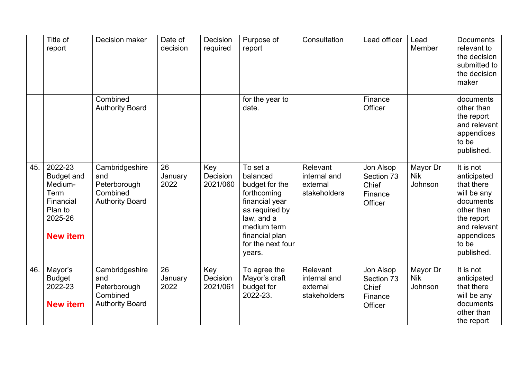|     | Title of<br>report                                                                                    | <b>Decision maker</b>                                                       | Date of<br>decision   | Decision<br>required        | Purpose of<br>report                                                                                                                                                    | Consultation                                         | Lead officer                                           | Lead<br>Member                    | <b>Documents</b><br>relevant to<br>the decision<br>submitted to<br>the decision<br>maker                                                            |
|-----|-------------------------------------------------------------------------------------------------------|-----------------------------------------------------------------------------|-----------------------|-----------------------------|-------------------------------------------------------------------------------------------------------------------------------------------------------------------------|------------------------------------------------------|--------------------------------------------------------|-----------------------------------|-----------------------------------------------------------------------------------------------------------------------------------------------------|
|     |                                                                                                       | Combined<br><b>Authority Board</b>                                          |                       |                             | for the year to<br>date.                                                                                                                                                |                                                      | Finance<br>Officer                                     |                                   | documents<br>other than<br>the report<br>and relevant<br>appendices<br>to be<br>published.                                                          |
| 45. | 2022-23<br><b>Budget and</b><br>Medium-<br>Term<br>Financial<br>Plan to<br>2025-26<br><b>New item</b> | Cambridgeshire<br>and<br>Peterborough<br>Combined<br><b>Authority Board</b> | 26<br>January<br>2022 | Key<br>Decision<br>2021/060 | To set a<br>balanced<br>budget for the<br>forthcoming<br>financial year<br>as required by<br>law, and a<br>medium term<br>financial plan<br>for the next four<br>years. | Relevant<br>internal and<br>external<br>stakeholders | Jon Alsop<br>Section 73<br>Chief<br>Finance<br>Officer | Mayor Dr<br><b>Nik</b><br>Johnson | It is not<br>anticipated<br>that there<br>will be any<br>documents<br>other than<br>the report<br>and relevant<br>appendices<br>to be<br>published. |
| 46. | Mayor's<br><b>Budget</b><br>2022-23<br><b>New item</b>                                                | Cambridgeshire<br>and<br>Peterborough<br>Combined<br><b>Authority Board</b> | 26<br>January<br>2022 | Key<br>Decision<br>2021/061 | To agree the<br>Mayor's draft<br>budget for<br>2022-23.                                                                                                                 | Relevant<br>internal and<br>external<br>stakeholders | Jon Alsop<br>Section 73<br>Chief<br>Finance<br>Officer | Mayor Dr<br><b>Nik</b><br>Johnson | It is not<br>anticipated<br>that there<br>will be any<br>documents<br>other than<br>the report                                                      |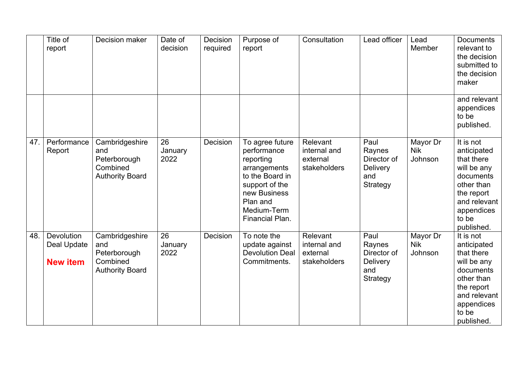|     | Title of<br>report                           | <b>Decision maker</b>                                                       | Date of<br>decision   | Decision<br>required | Purpose of<br>report                                                                                                                                                  | Consultation                                         | Lead officer                                                               | Lead<br>Member                    | <b>Documents</b><br>relevant to<br>the decision<br>submitted to<br>the decision<br>maker                                                            |
|-----|----------------------------------------------|-----------------------------------------------------------------------------|-----------------------|----------------------|-----------------------------------------------------------------------------------------------------------------------------------------------------------------------|------------------------------------------------------|----------------------------------------------------------------------------|-----------------------------------|-----------------------------------------------------------------------------------------------------------------------------------------------------|
|     |                                              |                                                                             |                       |                      |                                                                                                                                                                       |                                                      |                                                                            |                                   | and relevant<br>appendices<br>to be<br>published.                                                                                                   |
| 47. | Performance<br>Report                        | Cambridgeshire<br>and<br>Peterborough<br>Combined<br><b>Authority Board</b> | 26<br>January<br>2022 | Decision             | To agree future<br>performance<br>reporting<br>arrangements<br>to the Board in<br>support of the<br>new Business<br>Plan and<br>Medium-Term<br><b>Financial Plan.</b> | Relevant<br>internal and<br>external<br>stakeholders | Paul<br>Raynes<br>Director of<br>Delivery<br>and<br>Strategy               | Mayor Dr<br><b>Nik</b><br>Johnson | It is not<br>anticipated<br>that there<br>will be any<br>documents<br>other than<br>the report<br>and relevant<br>appendices<br>to be<br>published. |
| 48. | Devolution<br>Deal Update<br><b>New item</b> | Cambridgeshire<br>and<br>Peterborough<br>Combined<br><b>Authority Board</b> | 26<br>January<br>2022 | Decision             | To note the<br>update against<br><b>Devolution Deal</b><br>Commitments.                                                                                               | Relevant<br>internal and<br>external<br>stakeholders | Paul<br>Raynes<br>Director of<br><b>Delivery</b><br>and<br><b>Strategy</b> | Mayor Dr<br><b>Nik</b><br>Johnson | It is not<br>anticipated<br>that there<br>will be any<br>documents<br>other than<br>the report<br>and relevant<br>appendices<br>to be<br>published. |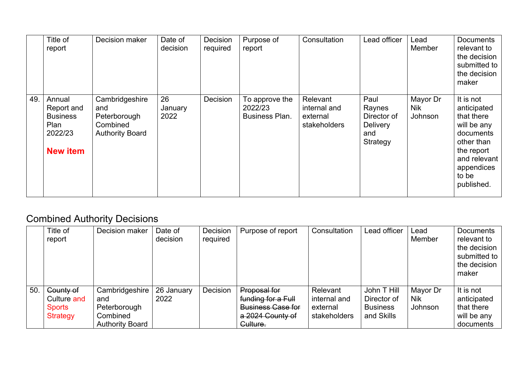|     | Title of<br>report                                                            | Decision maker                                                              | Date of<br>decision   | Decision<br>required | Purpose of<br>report                               | Consultation                                         | Lead officer                                                 | Lead<br>Member             | <b>Documents</b><br>relevant to<br>the decision<br>submitted to<br>the decision<br>maker                                                            |
|-----|-------------------------------------------------------------------------------|-----------------------------------------------------------------------------|-----------------------|----------------------|----------------------------------------------------|------------------------------------------------------|--------------------------------------------------------------|----------------------------|-----------------------------------------------------------------------------------------------------------------------------------------------------|
| 49. | Annual<br>Report and<br><b>Business</b><br>Plan<br>2022/23<br><b>New item</b> | Cambridgeshire<br>and<br>Peterborough<br>Combined<br><b>Authority Board</b> | 26<br>January<br>2022 | Decision             | To approve the<br>2022/23<br><b>Business Plan.</b> | Relevant<br>internal and<br>external<br>stakeholders | Paul<br>Raynes<br>Director of<br>Delivery<br>and<br>Strategy | Mayor Dr<br>Nik<br>Johnson | It is not<br>anticipated<br>that there<br>will be any<br>documents<br>other than<br>the report<br>and relevant<br>appendices<br>to be<br>published. |

## Combined Authority Decisions

|     | Title of<br>report                                           | Decision maker                                                              | Date of<br>decision | Decision<br>required | Purpose of report                                                                              | Consultation                                         | Lead officer                                                | Lead<br>Member             | <b>Documents</b><br>relevant to<br>the decision<br>submitted to<br>the decision<br>maker |
|-----|--------------------------------------------------------------|-----------------------------------------------------------------------------|---------------------|----------------------|------------------------------------------------------------------------------------------------|------------------------------------------------------|-------------------------------------------------------------|----------------------------|------------------------------------------------------------------------------------------|
| 50. | County of<br>Culture and<br><b>Sports</b><br><b>Strategy</b> | Cambridgeshire<br>and<br>Peterborough<br>Combined<br><b>Authority Board</b> | 26 January<br>2022  | Decision             | Proposal for<br>funding for a Full<br><b>Business Case for</b><br>a 2024 County of<br>Culture. | Relevant<br>internal and<br>external<br>stakeholders | John T Hill<br>Director of<br><b>Business</b><br>and Skills | Mayor Dr<br>Nik<br>Johnson | It is not<br>anticipated<br>that there<br>will be any<br>documents                       |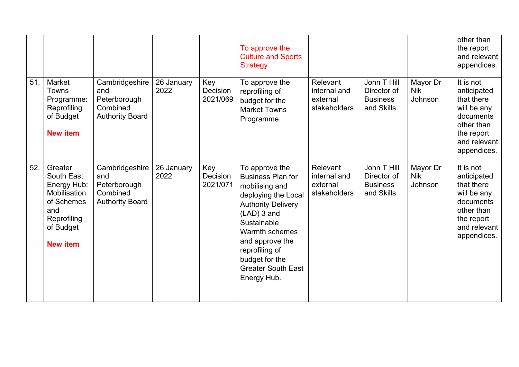|     |                                                                                                                          |                                                                             |                    |                             | To approve the<br><b>Culture and Sports</b><br><b>Strategy</b>                                                                                                                                                                                                      |                                                      |                                                             |                                   | other than<br>the report<br>and relevant<br>appendices.                                                                       |
|-----|--------------------------------------------------------------------------------------------------------------------------|-----------------------------------------------------------------------------|--------------------|-----------------------------|---------------------------------------------------------------------------------------------------------------------------------------------------------------------------------------------------------------------------------------------------------------------|------------------------------------------------------|-------------------------------------------------------------|-----------------------------------|-------------------------------------------------------------------------------------------------------------------------------|
| 51. | Market<br>Towns<br>Programme:<br>Reprofiling<br>of Budget<br><b>New item</b>                                             | Cambridgeshire<br>and<br>Peterborough<br>Combined<br><b>Authority Board</b> | 26 January<br>2022 | Key<br>Decision<br>2021/069 | To approve the<br>reprofiling of<br>budget for the<br><b>Market Towns</b><br>Programme.                                                                                                                                                                             | Relevant<br>internal and<br>external<br>stakeholders | John T Hill<br>Director of<br><b>Business</b><br>and Skills | Mayor Dr<br><b>Nik</b><br>Johnson | It is not<br>anticipated<br>that there<br>will be any<br>documents<br>other than<br>the report<br>and relevant<br>appendices. |
| 52. | Greater<br>South East<br>Energy Hub:<br>Mobilisation<br>of Schemes<br>and<br>Reprofiling<br>of Budget<br><b>New item</b> | Cambridgeshire<br>and<br>Peterborough<br>Combined<br><b>Authority Board</b> | 26 January<br>2022 | Key<br>Decision<br>2021/071 | To approve the<br><b>Business Plan for</b><br>mobilising and<br>deploying the Local<br><b>Authority Delivery</b><br>(LAD) 3 and<br>Sustainable<br>Warmth schemes<br>and approve the<br>reprofiling of<br>budget for the<br><b>Greater South East</b><br>Energy Hub. | Relevant<br>internal and<br>external<br>stakeholders | John T Hill<br>Director of<br><b>Business</b><br>and Skills | Mayor Dr<br><b>Nik</b><br>Johnson | It is not<br>anticipated<br>that there<br>will be any<br>documents<br>other than<br>the report<br>and relevant<br>appendices. |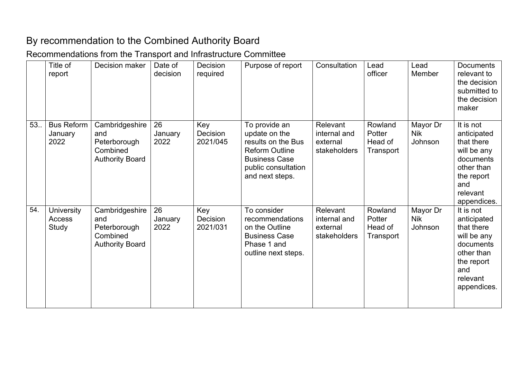## By recommendation to the Combined Authority Board

Recommendations from the Transport and Infrastructure Committee

|     | Title of<br>report                   | Decision maker                                                              | Date of<br>decision   | Decision<br>required        | Purpose of report                                                                                                                               | Consultation                                         | Lead<br>officer                           | Lead<br>Member                    | <b>Documents</b><br>relevant to<br>the decision<br>submitted to<br>the decision<br>maker                                         |
|-----|--------------------------------------|-----------------------------------------------------------------------------|-----------------------|-----------------------------|-------------------------------------------------------------------------------------------------------------------------------------------------|------------------------------------------------------|-------------------------------------------|-----------------------------------|----------------------------------------------------------------------------------------------------------------------------------|
| 53. | <b>Bus Reform</b><br>January<br>2022 | Cambridgeshire<br>and<br>Peterborough<br>Combined<br><b>Authority Board</b> | 26<br>January<br>2022 | Key<br>Decision<br>2021/045 | To provide an<br>update on the<br>results on the Bus<br><b>Reform Outline</b><br><b>Business Case</b><br>public consultation<br>and next steps. | Relevant<br>internal and<br>external<br>stakeholders | Rowland<br>Potter<br>Head of<br>Transport | Mayor Dr<br><b>Nik</b><br>Johnson | It is not<br>anticipated<br>that there<br>will be any<br>documents<br>other than<br>the report<br>and<br>relevant<br>appendices. |
| 54. | <b>University</b><br>Access<br>Study | Cambridgeshire<br>and<br>Peterborough<br>Combined<br><b>Authority Board</b> | 26<br>January<br>2022 | Key<br>Decision<br>2021/031 | To consider<br>recommendations<br>on the Outline<br><b>Business Case</b><br>Phase 1 and<br>outline next steps.                                  | Relevant<br>internal and<br>external<br>stakeholders | Rowland<br>Potter<br>Head of<br>Transport | Mayor Dr<br><b>Nik</b><br>Johnson | It is not<br>anticipated<br>that there<br>will be any<br>documents<br>other than<br>the report<br>and<br>relevant<br>appendices. |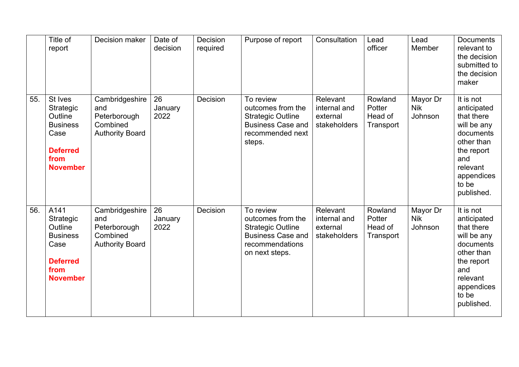|     | Title of<br>report                                                                                           | Decision maker                                                              | Date of<br>decision   | Decision<br>required | Purpose of report                                                                                                           | Consultation                                         | Lead<br>officer                           | Lead<br>Member                    | <b>Documents</b><br>relevant to<br>the decision<br>submitted to<br>the decision<br>maker                                                               |
|-----|--------------------------------------------------------------------------------------------------------------|-----------------------------------------------------------------------------|-----------------------|----------------------|-----------------------------------------------------------------------------------------------------------------------------|------------------------------------------------------|-------------------------------------------|-----------------------------------|--------------------------------------------------------------------------------------------------------------------------------------------------------|
| 55. | St Ives<br>Strategic<br>Outline<br><b>Business</b><br>Case<br><b>Deferred</b><br>from<br><b>November</b>     | Cambridgeshire<br>and<br>Peterborough<br>Combined<br><b>Authority Board</b> | 26<br>January<br>2022 | Decision             | To review<br>outcomes from the<br><b>Strategic Outline</b><br><b>Business Case and</b><br>recommended next<br>steps.        | Relevant<br>internal and<br>external<br>stakeholders | Rowland<br>Potter<br>Head of<br>Transport | Mayor Dr<br><b>Nik</b><br>Johnson | It is not<br>anticipated<br>that there<br>will be any<br>documents<br>other than<br>the report<br>and<br>relevant<br>appendices<br>to be<br>published. |
| 56. | A141<br><b>Strategic</b><br>Outline<br><b>Business</b><br>Case<br><b>Deferred</b><br>from<br><b>November</b> | Cambridgeshire<br>and<br>Peterborough<br>Combined<br><b>Authority Board</b> | 26<br>January<br>2022 | Decision             | To review<br>outcomes from the<br><b>Strategic Outline</b><br><b>Business Case and</b><br>recommendations<br>on next steps. | Relevant<br>internal and<br>external<br>stakeholders | Rowland<br>Potter<br>Head of<br>Transport | Mayor Dr<br><b>Nik</b><br>Johnson | It is not<br>anticipated<br>that there<br>will be any<br>documents<br>other than<br>the report<br>and<br>relevant<br>appendices<br>to be<br>published. |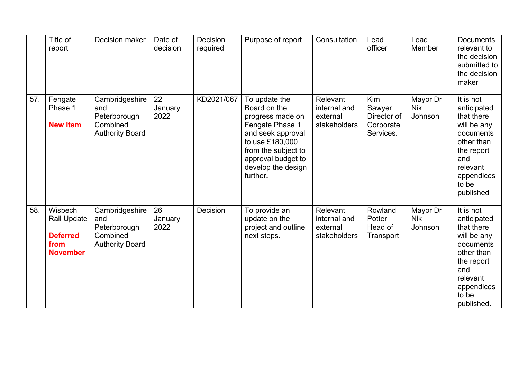|     | Title of<br>report                                                          | Decision maker                                                              | Date of<br>decision   | Decision<br>required | Purpose of report                                                                                                                                                                           | Consultation                                         | Lead<br>officer                                               | Lead<br>Member                    | <b>Documents</b><br>relevant to<br>the decision<br>submitted to<br>the decision<br>maker                                                               |
|-----|-----------------------------------------------------------------------------|-----------------------------------------------------------------------------|-----------------------|----------------------|---------------------------------------------------------------------------------------------------------------------------------------------------------------------------------------------|------------------------------------------------------|---------------------------------------------------------------|-----------------------------------|--------------------------------------------------------------------------------------------------------------------------------------------------------|
| 57. | Fengate<br>Phase 1<br><b>New Item</b>                                       | Cambridgeshire<br>and<br>Peterborough<br>Combined<br><b>Authority Board</b> | 22<br>January<br>2022 | KD2021/067           | To update the<br>Board on the<br>progress made on<br>Fengate Phase 1<br>and seek approval<br>to use £180,000<br>from the subject to<br>approval budget to<br>develop the design<br>further. | Relevant<br>internal and<br>external<br>stakeholders | <b>Kim</b><br>Sawyer<br>Director of<br>Corporate<br>Services. | Mayor Dr<br><b>Nik</b><br>Johnson | It is not<br>anticipated<br>that there<br>will be any<br>documents<br>other than<br>the report<br>and<br>relevant<br>appendices<br>to be<br>published  |
| 58. | Wisbech<br><b>Rail Update</b><br><b>Deferred</b><br>from<br><b>November</b> | Cambridgeshire<br>and<br>Peterborough<br>Combined<br><b>Authority Board</b> | 26<br>January<br>2022 | Decision             | To provide an<br>update on the<br>project and outline<br>next steps.                                                                                                                        | Relevant<br>internal and<br>external<br>stakeholders | Rowland<br>Potter<br>Head of<br>Transport                     | Mayor Dr<br><b>Nik</b><br>Johnson | It is not<br>anticipated<br>that there<br>will be any<br>documents<br>other than<br>the report<br>and<br>relevant<br>appendices<br>to be<br>published. |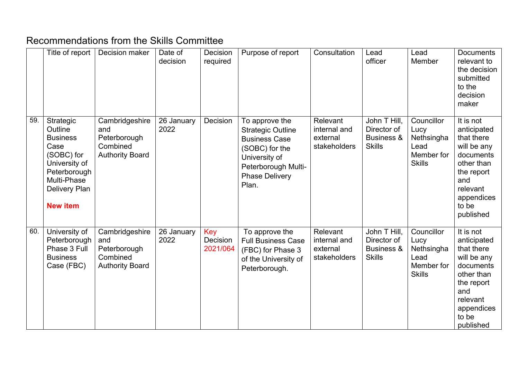## Recommendations from the Skills Committee

|     | Title of report                                                                                                                                          | <b>Decision maker</b>                                                       | Date of<br>decision | Decision<br>required        | Purpose of report                                                                                                                                              | Consultation                                         | Lead<br>officer                                                       | Lead<br>Member                                                          | <b>Documents</b><br>relevant to<br>the decision<br>submitted<br>to the<br>decision<br>maker                                                           |
|-----|----------------------------------------------------------------------------------------------------------------------------------------------------------|-----------------------------------------------------------------------------|---------------------|-----------------------------|----------------------------------------------------------------------------------------------------------------------------------------------------------------|------------------------------------------------------|-----------------------------------------------------------------------|-------------------------------------------------------------------------|-------------------------------------------------------------------------------------------------------------------------------------------------------|
| 59. | Strategic<br>Outline<br><b>Business</b><br>Case<br>(SOBC) for<br>University of<br>Peterborough<br>Multi-Phase<br><b>Delivery Plan</b><br><b>New item</b> | Cambridgeshire<br>and<br>Peterborough<br>Combined<br><b>Authority Board</b> | 26 January<br>2022  | Decision                    | To approve the<br><b>Strategic Outline</b><br><b>Business Case</b><br>(SOBC) for the<br>University of<br>Peterborough Multi-<br><b>Phase Delivery</b><br>Plan. | Relevant<br>internal and<br>external<br>stakeholders | John T Hill,<br>Director of<br><b>Business &amp;</b><br><b>Skills</b> | Councillor<br>Lucy<br>Nethsingha<br>Lead<br>Member for<br><b>Skills</b> | It is not<br>anticipated<br>that there<br>will be any<br>documents<br>other than<br>the report<br>and<br>relevant<br>appendices<br>to be<br>published |
| 60. | University of<br>Peterborough<br>Phase 3 Full<br><b>Business</b><br>Case (FBC)                                                                           | Cambridgeshire<br>and<br>Peterborough<br>Combined<br><b>Authority Board</b> | 26 January<br>2022  | Key<br>Decision<br>2021/064 | To approve the<br><b>Full Business Case</b><br>(FBC) for Phase 3<br>of the University of<br>Peterborough.                                                      | Relevant<br>internal and<br>external<br>stakeholders | John T Hill,<br>Director of<br><b>Business &amp;</b><br><b>Skills</b> | Councillor<br>Lucy<br>Nethsingha<br>Lead<br>Member for<br><b>Skills</b> | It is not<br>anticipated<br>that there<br>will be any<br>documents<br>other than<br>the report<br>and<br>relevant<br>appendices<br>to be<br>published |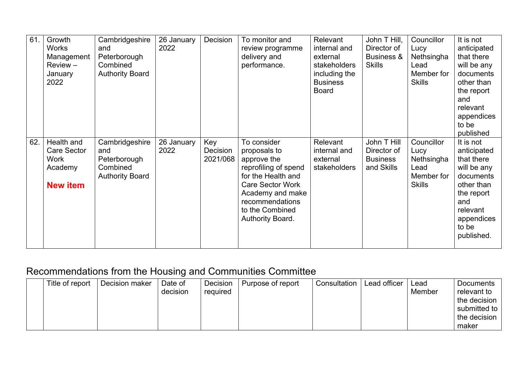| 61. | Growth<br>Works<br>Management<br>$Review -$<br>January<br>2022         | Cambridgeshire<br>and<br>Peterborough<br>Combined<br><b>Authority Board</b> | 26 January<br>2022 | Decision                    | To monitor and<br>review programme<br>delivery and<br>performance.                                                                                                                                       | Relevant<br>internal and<br>external<br>stakeholders<br>including the<br><b>Business</b><br><b>Board</b> | John T Hill,<br>Director of<br><b>Business &amp;</b><br><b>Skills</b> | Councillor<br>Lucy<br>Nethsingha<br>Lead<br>Member for<br><b>Skills</b> | It is not<br>anticipated<br>that there<br>will be any<br>documents<br>other than<br>the report<br>and<br>relevant<br>appendices<br>to be<br>published  |
|-----|------------------------------------------------------------------------|-----------------------------------------------------------------------------|--------------------|-----------------------------|----------------------------------------------------------------------------------------------------------------------------------------------------------------------------------------------------------|----------------------------------------------------------------------------------------------------------|-----------------------------------------------------------------------|-------------------------------------------------------------------------|--------------------------------------------------------------------------------------------------------------------------------------------------------|
| 62. | Health and<br><b>Care Sector</b><br>Work<br>Academy<br><b>New item</b> | Cambridgeshire<br>and<br>Peterborough<br>Combined<br><b>Authority Board</b> | 26 January<br>2022 | Key<br>Decision<br>2021/068 | To consider<br>proposals to<br>approve the<br>reprofiling of spend<br>for the Health and<br><b>Care Sector Work</b><br>Academy and make<br>recommendations<br>to the Combined<br><b>Authority Board.</b> | Relevant<br>internal and<br>external<br>stakeholders                                                     | John T Hill<br>Director of<br><b>Business</b><br>and Skills           | Councillor<br>Lucy<br>Nethsingha<br>Lead<br>Member for<br><b>Skills</b> | It is not<br>anticipated<br>that there<br>will be any<br>documents<br>other than<br>the report<br>and<br>relevant<br>appendices<br>to be<br>published. |

## Recommendations from the Housing and Communities Committee

| Title of report | Decision maker | Date of<br>decision | Decision<br>required | Purpose of report | Consultation | Lead officer | Lead<br>Member | Documents<br>relevant to |
|-----------------|----------------|---------------------|----------------------|-------------------|--------------|--------------|----------------|--------------------------|
|                 |                |                     |                      |                   |              |              |                | $ $ the decision         |
|                 |                |                     |                      |                   |              |              |                | submitted to             |
|                 |                |                     |                      |                   |              |              |                | $ $ the decision         |
|                 |                |                     |                      |                   |              |              |                | maker                    |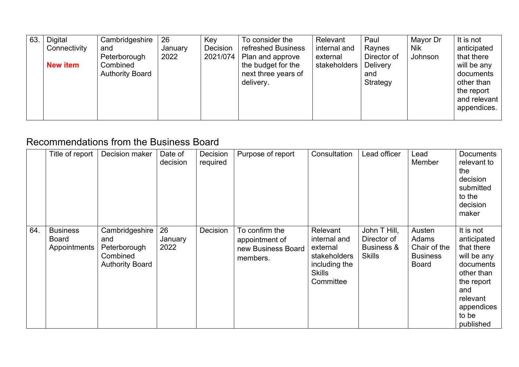| 63. | <b>Digital</b>  | Cambridgeshire         | 26      | Key      | To consider the     | Relevant     | Paul        | Mayor Dr   | It is not    |
|-----|-----------------|------------------------|---------|----------|---------------------|--------------|-------------|------------|--------------|
|     | Connectivity    | and                    | January | Decision | refreshed Business  | internal and | Raynes      | <b>Nik</b> | anticipated  |
|     |                 | Peterborough           | 2022    | 2021/074 | Plan and approve    | external     | Director of | Johnson    | that there   |
|     | <b>New item</b> | Combined               |         |          | the budget for the  | stakeholders | Delivery    |            | will be any  |
|     |                 | <b>Authority Board</b> |         |          | next three years of |              | and         |            | documents    |
|     |                 |                        |         |          | delivery.           |              | Strategy    |            | other than   |
|     |                 |                        |         |          |                     |              |             |            | the report   |
|     |                 |                        |         |          |                     |              |             |            | and relevant |
|     |                 |                        |         |          |                     |              |             |            | appendices.  |
|     |                 |                        |         |          |                     |              |             |            |              |

### Recommendations from the Business Board

|     | Title of report                          | Decision maker                                                              | Date of<br>decision   | Decision<br>required | Purpose of report                                                  | Consultation                                                                                        | Lead officer                                               | Lead<br>Member                                                     | <b>Documents</b><br>relevant to<br>the<br>decision<br>submitted<br>to the<br>decision<br>maker                                                        |
|-----|------------------------------------------|-----------------------------------------------------------------------------|-----------------------|----------------------|--------------------------------------------------------------------|-----------------------------------------------------------------------------------------------------|------------------------------------------------------------|--------------------------------------------------------------------|-------------------------------------------------------------------------------------------------------------------------------------------------------|
| 64. | <b>Business</b><br>Board<br>Appointments | Cambridgeshire<br>and<br>Peterborough<br>Combined<br><b>Authority Board</b> | 26<br>January<br>2022 | Decision             | To confirm the<br>appointment of<br>new Business Board<br>members. | Relevant<br>internal and<br>external<br>stakeholders<br>including the<br><b>Skills</b><br>Committee | John T Hill,<br>Director of<br>Business &<br><b>Skills</b> | Austen<br>Adams<br>Chair of the<br><b>Business</b><br><b>Board</b> | It is not<br>anticipated<br>that there<br>will be any<br>documents<br>other than<br>the report<br>and<br>relevant<br>appendices<br>to be<br>published |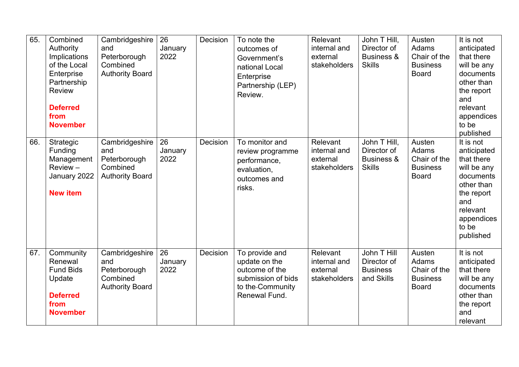| 65. | Combined<br>Authority<br>Implications<br>of the Local<br>Enterprise<br>Partnership<br><b>Review</b><br><b>Deferred</b><br>from<br><b>November</b> | Cambridgeshire<br>and<br>Peterborough<br>Combined<br><b>Authority Board</b> | 26<br>January<br>2022 | Decision | To note the<br>outcomes of<br>Government's<br>national Local<br>Enterprise<br>Partnership (LEP)<br>Review.   | Relevant<br>internal and<br>external<br>stakeholders | John T Hill,<br>Director of<br><b>Business &amp;</b><br><b>Skills</b> | Austen<br>Adams<br>Chair of the<br><b>Business</b><br><b>Board</b> | It is not<br>anticipated<br>that there<br>will be any<br>documents<br>other than<br>the report<br>and<br>relevant<br>appendices<br>to be<br>published |
|-----|---------------------------------------------------------------------------------------------------------------------------------------------------|-----------------------------------------------------------------------------|-----------------------|----------|--------------------------------------------------------------------------------------------------------------|------------------------------------------------------|-----------------------------------------------------------------------|--------------------------------------------------------------------|-------------------------------------------------------------------------------------------------------------------------------------------------------|
| 66. | Strategic<br>Funding<br>Management<br>$Review -$<br>January 2022<br><b>New item</b>                                                               | Cambridgeshire<br>and<br>Peterborough<br>Combined<br><b>Authority Board</b> | 26<br>January<br>2022 | Decision | To monitor and<br>review programme<br>performance,<br>evaluation,<br>outcomes and<br>risks.                  | Relevant<br>internal and<br>external<br>stakeholders | John T Hill,<br>Director of<br><b>Business &amp;</b><br><b>Skills</b> | Austen<br>Adams<br>Chair of the<br><b>Business</b><br><b>Board</b> | It is not<br>anticipated<br>that there<br>will be any<br>documents<br>other than<br>the report<br>and<br>relevant<br>appendices<br>to be<br>published |
| 67. | Community<br>Renewal<br><b>Fund Bids</b><br>Update<br><b>Deferred</b><br>from<br><b>November</b>                                                  | Cambridgeshire<br>and<br>Peterborough<br>Combined<br><b>Authority Board</b> | 26<br>January<br>2022 | Decision | To provide and<br>update on the<br>outcome of the<br>submission of bids<br>to the-Community<br>Renewal Fund. | Relevant<br>internal and<br>external<br>stakeholders | John T Hill<br>Director of<br><b>Business</b><br>and Skills           | Austen<br>Adams<br>Chair of the<br><b>Business</b><br><b>Board</b> | It is not<br>anticipated<br>that there<br>will be any<br>documents<br>other than<br>the report<br>and<br>relevant                                     |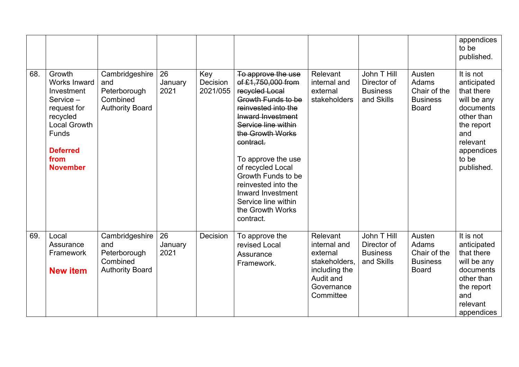|     |                                                                                                                                                           |                                                                             |                       |                             |                                                                                                                                                                                                                                                                                                                                                                  |                                                                                                                |                                                             |                                                                    | appendices<br>to be<br>published.                                                                                                                      |
|-----|-----------------------------------------------------------------------------------------------------------------------------------------------------------|-----------------------------------------------------------------------------|-----------------------|-----------------------------|------------------------------------------------------------------------------------------------------------------------------------------------------------------------------------------------------------------------------------------------------------------------------------------------------------------------------------------------------------------|----------------------------------------------------------------------------------------------------------------|-------------------------------------------------------------|--------------------------------------------------------------------|--------------------------------------------------------------------------------------------------------------------------------------------------------|
| 68. | Growth<br>Works Inward<br>Investment<br>Service-<br>request for<br>recycled<br><b>Local Growth</b><br>Funds<br><b>Deferred</b><br>from<br><b>November</b> | Cambridgeshire<br>and<br>Peterborough<br>Combined<br><b>Authority Board</b> | 26<br>January<br>2021 | Key<br>Decision<br>2021/055 | To approve the use<br>of £1,750,000 from<br>recycled Local<br>Growth Funds to be<br>reinvested into the<br>Inward Investment<br>Service line within<br>the Growth Works<br>contract.<br>To approve the use<br>of recycled Local<br>Growth Funds to be<br>reinvested into the<br><b>Inward Investment</b><br>Service line within<br>the Growth Works<br>contract. | Relevant<br>internal and<br>external<br>stakeholders                                                           | John T Hill<br>Director of<br><b>Business</b><br>and Skills | Austen<br>Adams<br>Chair of the<br><b>Business</b><br><b>Board</b> | It is not<br>anticipated<br>that there<br>will be any<br>documents<br>other than<br>the report<br>and<br>relevant<br>appendices<br>to be<br>published. |
| 69. | Local<br>Assurance<br>Framework<br><b>New item</b>                                                                                                        | Cambridgeshire<br>and<br>Peterborough<br>Combined<br><b>Authority Board</b> | 26<br>January<br>2021 | Decision                    | To approve the<br>revised Local<br>Assurance<br>Framework.                                                                                                                                                                                                                                                                                                       | Relevant<br>internal and<br>external<br>stakeholders,<br>including the<br>Audit and<br>Governance<br>Committee | John T Hill<br>Director of<br><b>Business</b><br>and Skills | Austen<br>Adams<br>Chair of the<br><b>Business</b><br><b>Board</b> | It is not<br>anticipated<br>that there<br>will be any<br>documents<br>other than<br>the report<br>and<br>relevant<br>appendices                        |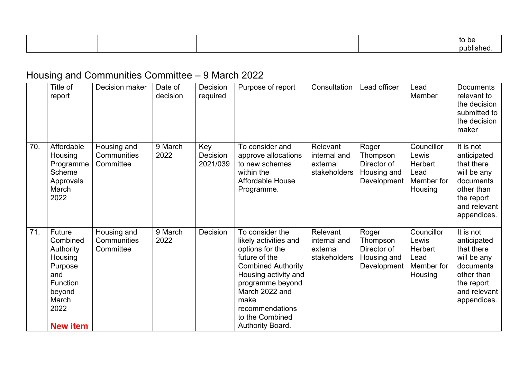|  |  |  |  | . .<br>рe<br>. . |
|--|--|--|--|------------------|
|  |  |  |  | . .<br>--        |

## Housing and Communities Committee – 9 March 2022

|     | Title of<br>report                                                                                                     | Decision maker                          | Date of<br>decision | Decision<br>required        | Purpose of report                                                                                                                                                                                                                         | Consultation                                         | Lead officer                                                   | Lead<br><b>Member</b>                                                  | <b>Documents</b><br>relevant to<br>the decision<br>submitted to<br>the decision<br>maker                                      |
|-----|------------------------------------------------------------------------------------------------------------------------|-----------------------------------------|---------------------|-----------------------------|-------------------------------------------------------------------------------------------------------------------------------------------------------------------------------------------------------------------------------------------|------------------------------------------------------|----------------------------------------------------------------|------------------------------------------------------------------------|-------------------------------------------------------------------------------------------------------------------------------|
| 70. | Affordable<br>Housing<br>Programme<br>Scheme<br>Approvals<br>March<br>2022                                             | Housing and<br>Communities<br>Committee | 9 March<br>2022     | Key<br>Decision<br>2021/039 | To consider and<br>approve allocations<br>to new schemes<br>within the<br><b>Affordable House</b><br>Programme.                                                                                                                           | Relevant<br>internal and<br>external<br>stakeholders | Roger<br>Thompson<br>Director of<br>Housing and<br>Development | Councillor<br>Lewis<br>Herbert<br>Lead<br>Member for<br>Housing        | It is not<br>anticipated<br>that there<br>will be any<br>documents<br>other than<br>the report<br>and relevant<br>appendices. |
| 71. | Future<br>Combined<br>Authority<br>Housing<br>Purpose<br>and<br>Function<br>beyond<br>March<br>2022<br><b>New item</b> | Housing and<br>Communities<br>Committee | 9 March<br>2022     | Decision                    | To consider the<br>likely activities and<br>options for the<br>future of the<br><b>Combined Authority</b><br>Housing activity and<br>programme beyond<br>March 2022 and<br>make<br>recommendations<br>to the Combined<br>Authority Board. | Relevant<br>internal and<br>external<br>stakeholders | Roger<br>Thompson<br>Director of<br>Housing and<br>Development | Councillor<br>Lewis<br><b>Herbert</b><br>Lead<br>Member for<br>Housing | It is not<br>anticipated<br>that there<br>will be any<br>documents<br>other than<br>the report<br>and relevant<br>appendices. |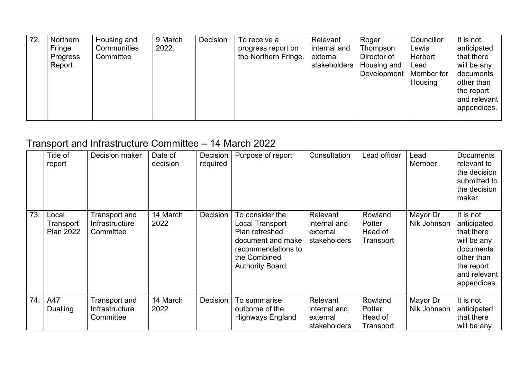| 72. | Northern<br>Fringe<br>Progress<br>Report | Housing and<br>Communities<br>Committee | 9 March<br>2022 | Decision | To receive a<br>progress report on<br>the Northern Fringe. | Relevant<br>internal and<br>external | Roger<br>Thompson<br>Director of<br>stakeholders   Housing and<br>Development | Councillor<br>Lewis<br>Herbert<br>Lead<br>Member for<br>Housing | It is not<br>anticipated<br>that there<br>will be any<br>documents<br>other than<br>the report<br>and relevant |
|-----|------------------------------------------|-----------------------------------------|-----------------|----------|------------------------------------------------------------|--------------------------------------|-------------------------------------------------------------------------------|-----------------------------------------------------------------|----------------------------------------------------------------------------------------------------------------|
|     |                                          |                                         |                 |          |                                                            |                                      |                                                                               |                                                                 | appendices.                                                                                                    |

## Transport and Infrastructure Committee – 14 March 2022

|     | Title of<br>report                     | Decision maker                                      | Date of<br>decision | Decision<br>required | Purpose of report                                                                                                                          | Consultation                                         | Lead officer                              | Lead<br>Member          | <b>Documents</b><br>relevant to<br>the decision<br>submitted to<br>the decision<br>maker                                      |
|-----|----------------------------------------|-----------------------------------------------------|---------------------|----------------------|--------------------------------------------------------------------------------------------------------------------------------------------|------------------------------------------------------|-------------------------------------------|-------------------------|-------------------------------------------------------------------------------------------------------------------------------|
| 73. | Local<br>Transport<br><b>Plan 2022</b> | Transport and<br>Infrastructure<br>Committee        | 14 March<br>2022    | Decision             | To consider the<br>Local Transport<br>Plan refreshed<br>document and make<br>recommendations to<br>the Combined<br><b>Authority Board.</b> | Relevant<br>internal and<br>external<br>stakeholders | Rowland<br>Potter<br>Head of<br>Transport | Mayor Dr<br>Nik Johnson | It is not<br>anticipated<br>that there<br>will be any<br>documents<br>other than<br>the report<br>and relevant<br>appendices. |
| 74. | A47<br><b>Dualling</b>                 | <b>Transport and</b><br>Infrastructure<br>Committee | 14 March<br>2022    | Decision             | To summarise<br>outcome of the<br><b>Highways England</b>                                                                                  | Relevant<br>internal and<br>external<br>stakeholders | Rowland<br>Potter<br>Head of<br>Transport | Mayor Dr<br>Nik Johnson | It is not<br>anticipated<br>that there<br>will be any                                                                         |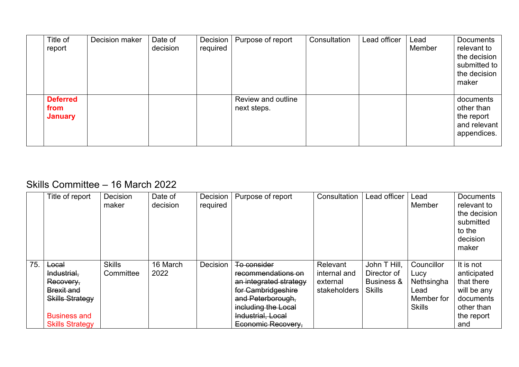| Title of<br>report                        | Decision maker | Date of<br>decision | Decision<br>required | Purpose of report                 | Consultation | Lead officer | Lead<br>Member | Documents<br>relevant to<br>the decision<br>submitted to<br>the decision<br>maker |
|-------------------------------------------|----------------|---------------------|----------------------|-----------------------------------|--------------|--------------|----------------|-----------------------------------------------------------------------------------|
| <b>Deferred</b><br>from<br><b>January</b> |                |                     |                      | Review and outline<br>next steps. |              |              |                | documents<br>other than<br>the report<br>and relevant<br>appendices.              |

### Skills Committee – 16 March 2022

|    | Title of report        | Decision      | Date of  | Decision | Purpose of report      | Consultation | Lead officer  | Lead          | <b>Documents</b> |
|----|------------------------|---------------|----------|----------|------------------------|--------------|---------------|---------------|------------------|
|    |                        | maker         | decision | required |                        |              |               | Member        | relevant to      |
|    |                        |               |          |          |                        |              |               |               | the decision     |
|    |                        |               |          |          |                        |              |               |               | submitted        |
|    |                        |               |          |          |                        |              |               |               | to the           |
|    |                        |               |          |          |                        |              |               |               | decision         |
|    |                        |               |          |          |                        |              |               |               | maker            |
|    |                        |               |          |          |                        |              |               |               |                  |
| 75 | <del>Local</del>       | <b>Skills</b> | 16 March | Decision | <b>To consider</b>     | Relevant     | John T Hill,  | Councillor    | It is not        |
|    | Industrial,            | Committee     | 2022     |          | recommendations on     | internal and | Director of   | Lucy          | anticipated      |
|    | Recovery,              |               |          |          | an integrated strategy | external     | Business &    | Nethsingha    | that there       |
|    | <b>Brexit and</b>      |               |          |          | for Cambridgeshire     | stakeholders | <b>Skills</b> | Lead          | will be any      |
|    | <b>Skills Strategy</b> |               |          |          | and Peterborough,      |              |               | Member for    | documents        |
|    |                        |               |          |          | including the Local    |              |               | <b>Skills</b> | other than       |
|    | <b>Business and</b>    |               |          |          | Industrial, Local      |              |               |               | the report       |
|    | <b>Skills Strategy</b> |               |          |          | Economic Recovery,     |              |               |               | and              |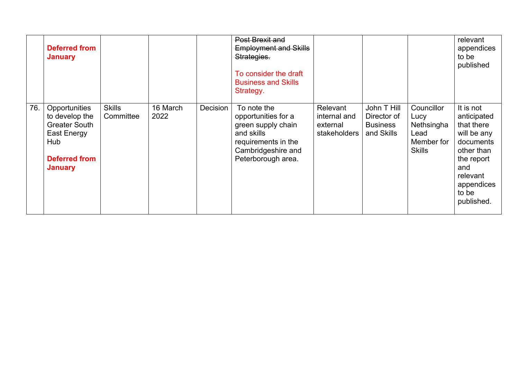|     | <b>Deferred from</b><br><b>January</b>                                                                                  |                            |                  |          | Post Brexit and<br><b>Employment and Skills</b><br>Strategies.<br>To consider the draft<br><b>Business and Skills</b><br>Strategy.        |                                                      |                                                             |                                                                         | relevant<br>appendices<br>to be<br>published                                                                                                           |
|-----|-------------------------------------------------------------------------------------------------------------------------|----------------------------|------------------|----------|-------------------------------------------------------------------------------------------------------------------------------------------|------------------------------------------------------|-------------------------------------------------------------|-------------------------------------------------------------------------|--------------------------------------------------------------------------------------------------------------------------------------------------------|
| 76. | Opportunities<br>to develop the<br><b>Greater South</b><br>East Energy<br>Hub<br><b>Deferred from</b><br><b>January</b> | <b>Skills</b><br>Committee | 16 March<br>2022 | Decision | To note the<br>opportunities for a<br>green supply chain<br>and skills<br>requirements in the<br>Cambridgeshire and<br>Peterborough area. | Relevant<br>internal and<br>external<br>stakeholders | John T Hill<br>Director of<br><b>Business</b><br>and Skills | Councillor<br>Lucy<br>Nethsingha<br>Lead<br>Member for<br><b>Skills</b> | It is not<br>anticipated<br>that there<br>will be any<br>documents<br>other than<br>the report<br>and<br>relevant<br>appendices<br>to be<br>published. |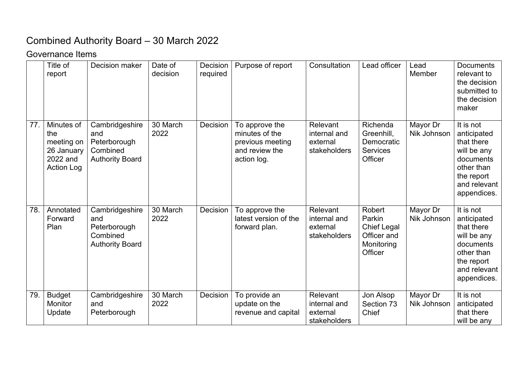## Combined Authority Board – 30 March 2022

### Governance Items

|     | Title of<br>report                                                             | <b>Decision maker</b>                                                       | Date of<br>decision | Decision<br>required | Purpose of report                                                                     | Consultation                                         | Lead officer                                                                   | Lead<br>Member          | <b>Documents</b><br>relevant to<br>the decision<br>submitted to<br>the decision<br>maker                                      |
|-----|--------------------------------------------------------------------------------|-----------------------------------------------------------------------------|---------------------|----------------------|---------------------------------------------------------------------------------------|------------------------------------------------------|--------------------------------------------------------------------------------|-------------------------|-------------------------------------------------------------------------------------------------------------------------------|
| 77. | Minutes of<br>the<br>meeting on<br>26 January<br>2022 and<br><b>Action Log</b> | Cambridgeshire<br>and<br>Peterborough<br>Combined<br><b>Authority Board</b> | 30 March<br>2022    | Decision             | To approve the<br>minutes of the<br>previous meeting<br>and review the<br>action log. | Relevant<br>internal and<br>external<br>stakeholders | Richenda<br>Greenhill,<br>Democratic<br><b>Services</b><br>Officer             | Mayor Dr<br>Nik Johnson | It is not<br>anticipated<br>that there<br>will be any<br>documents<br>other than<br>the report<br>and relevant<br>appendices. |
| 78. | Annotated<br>Forward<br>Plan                                                   | Cambridgeshire<br>and<br>Peterborough<br>Combined<br><b>Authority Board</b> | 30 March<br>2022    | Decision             | To approve the<br>latest version of the<br>forward plan.                              | Relevant<br>internal and<br>external<br>stakeholders | Robert<br>Parkin<br><b>Chief Legal</b><br>Officer and<br>Monitoring<br>Officer | Mayor Dr<br>Nik Johnson | It is not<br>anticipated<br>that there<br>will be any<br>documents<br>other than<br>the report<br>and relevant<br>appendices. |
| 79. | <b>Budget</b><br>Monitor<br>Update                                             | Cambridgeshire<br>and<br>Peterborough                                       | 30 March<br>2022    | Decision             | To provide an<br>update on the<br>revenue and capital                                 | Relevant<br>internal and<br>external<br>stakeholders | Jon Alsop<br>Section 73<br>Chief                                               | Mayor Dr<br>Nik Johnson | It is not<br>anticipated<br>that there<br>will be any                                                                         |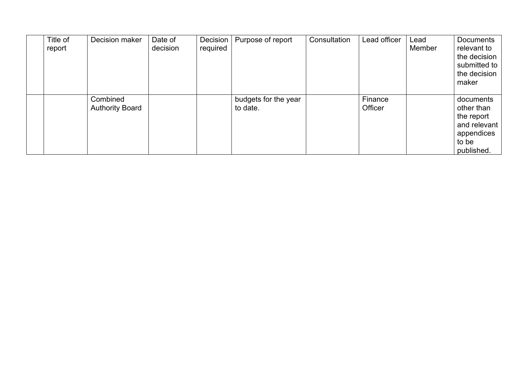| Title of<br>report | Decision maker                     | Date of<br>decision | Decision<br>required | Purpose of report                | Consultation | Lead officer       | Lead<br>Member | <b>Documents</b><br>relevant to<br>the decision<br>submitted to<br>the decision<br>maker   |
|--------------------|------------------------------------|---------------------|----------------------|----------------------------------|--------------|--------------------|----------------|--------------------------------------------------------------------------------------------|
|                    | Combined<br><b>Authority Board</b> |                     |                      | budgets for the year<br>to date. |              | Finance<br>Officer |                | documents<br>other than<br>the report<br>and relevant<br>appendices<br>to be<br>published. |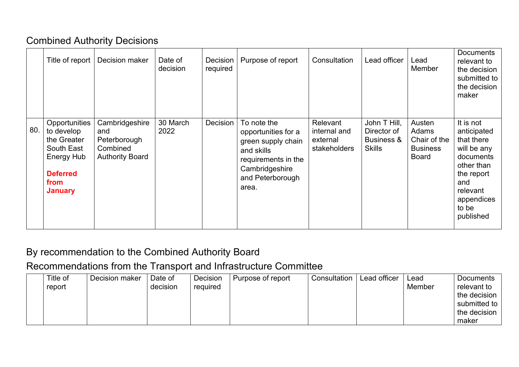## Combined Authority Decisions

|     | Title of report                                                                                                     | Decision maker                                                              | Date of<br>decision | Decision<br>required | Purpose of report                                                                                                                            | Consultation                                         | Lead officer                                               | Lead<br>Member                                                     | <b>Documents</b><br>relevant to<br>the decision<br>submitted to<br>the decision<br>maker                                                              |
|-----|---------------------------------------------------------------------------------------------------------------------|-----------------------------------------------------------------------------|---------------------|----------------------|----------------------------------------------------------------------------------------------------------------------------------------------|------------------------------------------------------|------------------------------------------------------------|--------------------------------------------------------------------|-------------------------------------------------------------------------------------------------------------------------------------------------------|
| 80. | Opportunities<br>to develop<br>the Greater<br>South East<br>Energy Hub<br><b>Deferred</b><br>from<br><b>January</b> | Cambridgeshire<br>and<br>Peterborough<br>Combined<br><b>Authority Board</b> | 30 March<br>2022    | Decision             | To note the<br>opportunities for a<br>green supply chain<br>and skills<br>requirements in the<br>Cambridgeshire<br>and Peterborough<br>area. | Relevant<br>internal and<br>external<br>stakeholders | John T Hill,<br>Director of<br>Business &<br><b>Skills</b> | Austen<br>Adams<br>Chair of the<br><b>Business</b><br><b>Board</b> | It is not<br>anticipated<br>that there<br>will be any<br>documents<br>other than<br>the report<br>and<br>relevant<br>appendices<br>to be<br>published |

### By recommendation to the Combined Authority Board

### Recommendations from the Transport and Infrastructure Committee

| Title of | Decision maker | Date of  | Decision | Purpose of report | Consultation | Lead officer | Lead   | Documents    |
|----------|----------------|----------|----------|-------------------|--------------|--------------|--------|--------------|
| report   |                | decision | required |                   |              |              | Member | relevant to  |
|          |                |          |          |                   |              |              |        | the decision |
|          |                |          |          |                   |              |              |        | submitted to |
|          |                |          |          |                   |              |              |        | the decision |
|          |                |          |          |                   |              |              |        | maker        |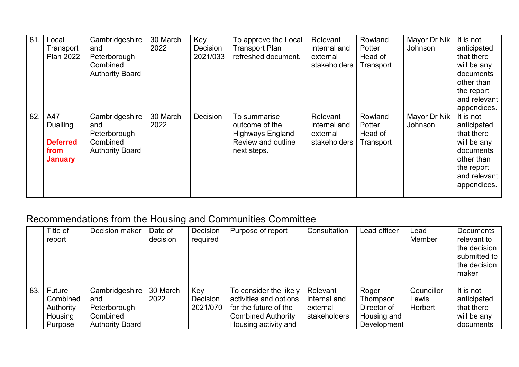| 81  | Local<br>Transport<br><b>Plan 2022</b>                              | Cambridgeshire<br>and<br>Peterborough<br>Combined<br><b>Authority Board</b> | 30 March<br>2022 | Key<br><b>Decision</b><br>2021/033 | To approve the Local<br><b>Transport Plan</b><br>refreshed document.                           | Relevant<br>internal and<br>external<br>stakeholders | Rowland<br>Potter<br>Head of<br>Transport | Mayor Dr Nik<br>Johnson | It is not<br>anticipated<br>that there<br>will be any<br>documents<br>other than<br>the report<br>and relevant<br>appendices. |
|-----|---------------------------------------------------------------------|-----------------------------------------------------------------------------|------------------|------------------------------------|------------------------------------------------------------------------------------------------|------------------------------------------------------|-------------------------------------------|-------------------------|-------------------------------------------------------------------------------------------------------------------------------|
| 82. | A47<br><b>Dualling</b><br><b>Deferred</b><br>from<br><b>January</b> | Cambridgeshire<br>and<br>Peterborough<br>Combined<br><b>Authority Board</b> | 30 March<br>2022 | Decision                           | To summarise<br>outcome of the<br><b>Highways England</b><br>Review and outline<br>next steps. | Relevant<br>internal and<br>external<br>stakeholders | Rowland<br>Potter<br>Head of<br>Transport | Mayor Dr Nik<br>Johnson | It is not<br>anticipated<br>that there<br>will be any<br>documents<br>other than<br>the report<br>and relevant<br>appendices. |

## Recommendations from the Housing and Communities Committee

|     | Title of<br>report | Decision maker         | Date of<br>decision | Decision<br>required | Purpose of report         | Consultation | Lead officer | Lead<br>Member | <b>Documents</b><br>relevant to<br>the decision<br>submitted to<br>the decision<br>maker |
|-----|--------------------|------------------------|---------------------|----------------------|---------------------------|--------------|--------------|----------------|------------------------------------------------------------------------------------------|
| 83. | Future             | Cambridgeshire         | 30 March            | Key                  | To consider the likely    | Relevant     | Roger        | Councillor     | It is not                                                                                |
|     | Combined           | and                    | 2022                | Decision             | activities and options    | internal and | Thompson     | Lewis          | anticipated                                                                              |
|     | Authority          | Peterborough           |                     | 2021/070             | for the future of the     | external     | Director of  | <b>Herbert</b> | that there                                                                               |
|     | Housing            | Combined               |                     |                      | <b>Combined Authority</b> | stakeholders | Housing and  |                | will be any                                                                              |
|     | Purpose            | <b>Authority Board</b> |                     |                      | Housing activity and      |              | Development  |                | documents                                                                                |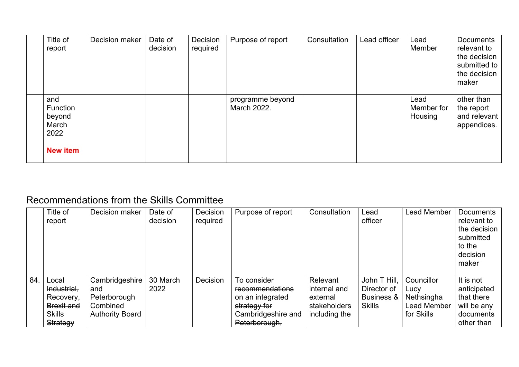| Title of<br>report                                            | Decision maker | Date of<br>decision | Decision<br>required | Purpose of report               | Consultation | Lead officer | Lead<br>Member                | <b>Documents</b><br>relevant to<br>the decision<br>submitted to<br>the decision<br>maker |
|---------------------------------------------------------------|----------------|---------------------|----------------------|---------------------------------|--------------|--------------|-------------------------------|------------------------------------------------------------------------------------------|
| and<br>Function<br>beyond<br>March<br>2022<br><b>New item</b> |                |                     |                      | programme beyond<br>March 2022. |              |              | Lead<br>Member for<br>Housing | other than<br>the report<br>and relevant<br>appendices.                                  |

### Recommendations from the Skills Committee

|    | Title of<br>report                                                                             | Decision maker                                                              | Date of<br>decision | Decision<br>required | Purpose of report                                                                                         | Consultation                                                          | Lead<br>officer                                            | Lead Member                                                          | <b>Documents</b><br>relevant to<br>the decision<br>submitted<br>to the<br>decision<br>maker |
|----|------------------------------------------------------------------------------------------------|-----------------------------------------------------------------------------|---------------------|----------------------|-----------------------------------------------------------------------------------------------------------|-----------------------------------------------------------------------|------------------------------------------------------------|----------------------------------------------------------------------|---------------------------------------------------------------------------------------------|
| 84 | <del>Local</del><br>Industrial,<br>Recovery,<br><b>Brexit and</b><br><b>Skills</b><br>Strategy | Cambridgeshire<br>and<br>Peterborough<br>Combined<br><b>Authority Board</b> | 30 March<br>2022    | Decision             | To consider<br>recommendations<br>on an integrated<br>strategy for<br>Cambridgeshire and<br>Peterborough, | Relevant<br>internal and<br>external<br>stakeholders<br>including the | John T Hill,<br>Director of<br>Business &<br><b>Skills</b> | Councillor<br>Lucy<br>Nethsingha<br><b>Lead Member</b><br>for Skills | It is not<br>anticipated<br>that there<br>will be any<br>documents<br>other than            |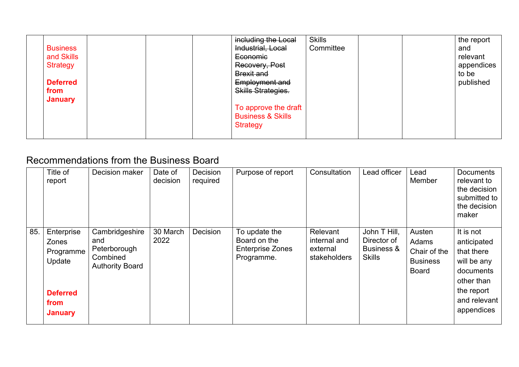|                 |  | including the Local          | <b>Skills</b> |  | the report |
|-----------------|--|------------------------------|---------------|--|------------|
| <b>Business</b> |  | Industrial, Local            | Committee     |  | and        |
| and Skills      |  | Economic                     |               |  | relevant   |
| Strategy        |  | Recovery, Post               |               |  | appendices |
|                 |  | <b>Brexit and</b>            |               |  | to be      |
| <b>Deferred</b> |  | <b>Employment and</b>        |               |  | published  |
| from            |  | Skills Strategies.           |               |  |            |
| <b>January</b>  |  |                              |               |  |            |
|                 |  | To approve the draft         |               |  |            |
|                 |  | <b>Business &amp; Skills</b> |               |  |            |
|                 |  | <b>Strategy</b>              |               |  |            |
|                 |  |                              |               |  |            |

### Recommendations from the Business Board

|     | Title of<br>report                                                                             | Decision maker                                                              | Date of<br>decision | Decision<br>required | Purpose of report                                                      | Consultation                                         | Lead officer                                                          | Lead<br>Member                                                     | <b>Documents</b><br>relevant to<br>the decision<br>submitted to<br>the decision<br>maker                                     |
|-----|------------------------------------------------------------------------------------------------|-----------------------------------------------------------------------------|---------------------|----------------------|------------------------------------------------------------------------|------------------------------------------------------|-----------------------------------------------------------------------|--------------------------------------------------------------------|------------------------------------------------------------------------------------------------------------------------------|
| 85. | Enterprise<br><b>Zones</b><br>Programme<br>Update<br><b>Deferred</b><br>from<br><b>January</b> | Cambridgeshire<br>and<br>Peterborough<br>Combined<br><b>Authority Board</b> | 30 March<br>2022    | Decision             | To update the<br>Board on the<br><b>Enterprise Zones</b><br>Programme. | Relevant<br>internal and<br>external<br>stakeholders | John T Hill,<br>Director of<br><b>Business &amp;</b><br><b>Skills</b> | Austen<br>Adams<br>Chair of the<br><b>Business</b><br><b>Board</b> | It is not<br>anticipated<br>that there<br>will be any<br>documents<br>other than<br>the report<br>and relevant<br>appendices |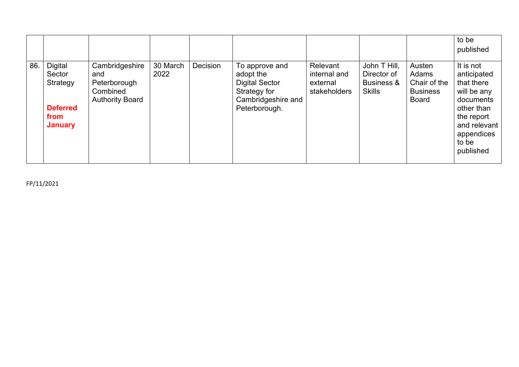|     |                                                                                   |                                                                             |                  |          |                                                                                                             |                                                      |                                                            |                                                                    | to be<br>published                                                                                                                                 |
|-----|-----------------------------------------------------------------------------------|-----------------------------------------------------------------------------|------------------|----------|-------------------------------------------------------------------------------------------------------------|------------------------------------------------------|------------------------------------------------------------|--------------------------------------------------------------------|----------------------------------------------------------------------------------------------------------------------------------------------------|
| 86. | <b>Digital</b><br>Sector<br>Strategy<br><b>Deferred</b><br>from<br><b>January</b> | Cambridgeshire<br>and<br>Peterborough<br>Combined<br><b>Authority Board</b> | 30 March<br>2022 | Decision | To approve and<br>adopt the<br><b>Digital Sector</b><br>Strategy for<br>Cambridgeshire and<br>Peterborough. | Relevant<br>internal and<br>external<br>stakeholders | John T Hill,<br>Director of<br>Business &<br><b>Skills</b> | Austen<br>Adams<br>Chair of the<br><b>Business</b><br><b>Board</b> | It is not<br>anticipated<br>that there<br>will be any<br>documents<br>other than<br>the report<br>and relevant<br>appendices<br>to be<br>published |

FP/11/2021